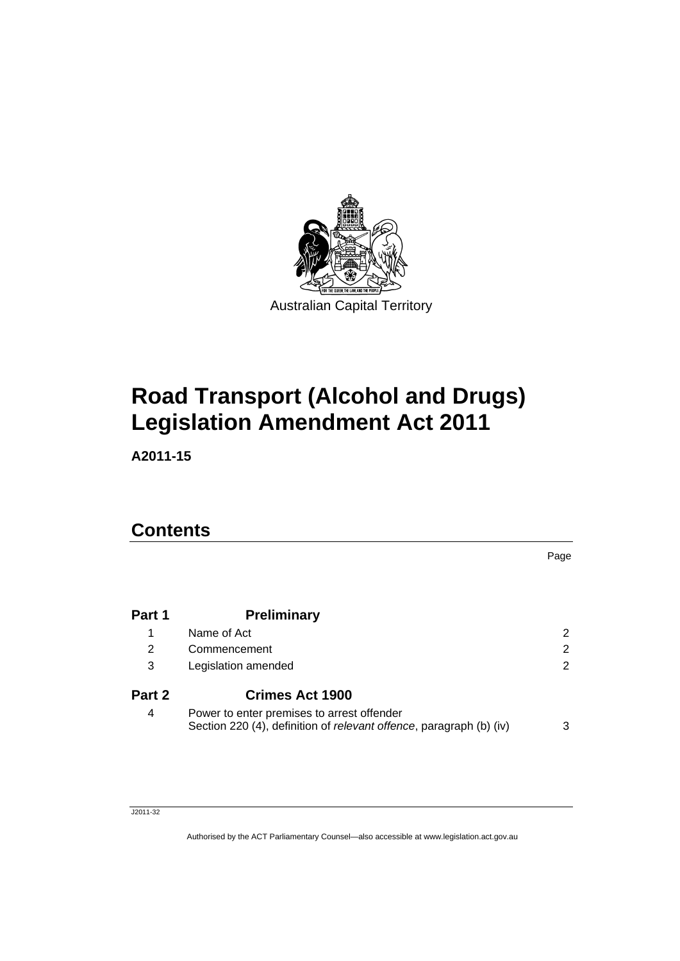

# **[Road Transport \(Alcohol and Drugs\)](#page-6-0)  [Legislation Amendment Act 2011](#page-6-0)**

**A2011-15** 

# **Contents**

| Part 1 | <b>Preliminary</b>                                                                                                |   |
|--------|-------------------------------------------------------------------------------------------------------------------|---|
| 1      | Name of Act                                                                                                       | 2 |
| 2      | Commencement                                                                                                      | 2 |
| 3      | Legislation amended                                                                                               | 2 |
| Part 2 | <b>Crimes Act 1900</b>                                                                                            |   |
| 4      | Power to enter premises to arrest offender<br>Section 220 (4), definition of relevant offence, paragraph (b) (iv) | 3 |

Page

#### J2011-32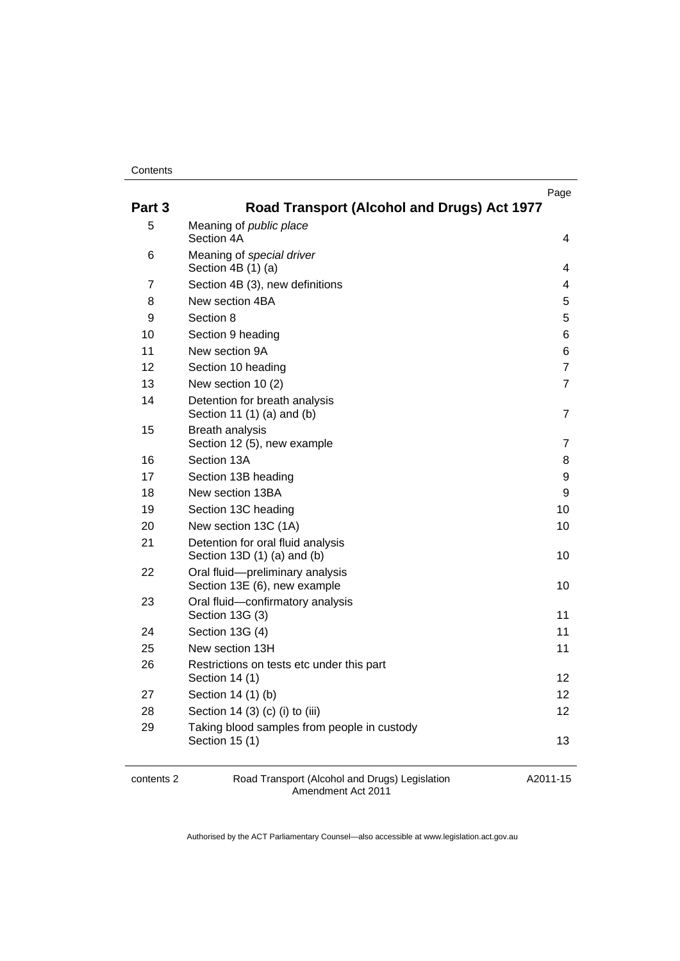#### **Contents**

| 5<br>Meaning of public place<br>Section 4A<br>6<br>Meaning of special driver<br>Section 4B (1) (a)<br>$\overline{7}$<br>Section 4B (3), new definitions<br>New section 4BA<br>8<br>Section 8<br>9<br>10<br>Section 9 heading<br>New section 9A<br>11<br>12<br>Section 10 heading<br>13<br>New section 10 (2) | Page<br>Road Transport (Alcohol and Drugs) Act 1977 |
|--------------------------------------------------------------------------------------------------------------------------------------------------------------------------------------------------------------------------------------------------------------------------------------------------------------|-----------------------------------------------------|
|                                                                                                                                                                                                                                                                                                              |                                                     |
|                                                                                                                                                                                                                                                                                                              | 4                                                   |
|                                                                                                                                                                                                                                                                                                              | 4                                                   |
|                                                                                                                                                                                                                                                                                                              | 4                                                   |
|                                                                                                                                                                                                                                                                                                              | 5                                                   |
|                                                                                                                                                                                                                                                                                                              | 5                                                   |
|                                                                                                                                                                                                                                                                                                              | 6                                                   |
|                                                                                                                                                                                                                                                                                                              | 6                                                   |
|                                                                                                                                                                                                                                                                                                              | $\overline{7}$                                      |
|                                                                                                                                                                                                                                                                                                              | $\overline{7}$                                      |
| 14<br>Detention for breath analysis<br>Section 11 (1) (a) and (b)                                                                                                                                                                                                                                            | 7                                                   |
| <b>Breath analysis</b><br>15<br>Section 12 (5), new example                                                                                                                                                                                                                                                  | 7                                                   |
| Section 13A<br>16                                                                                                                                                                                                                                                                                            | 8                                                   |
| 17<br>Section 13B heading                                                                                                                                                                                                                                                                                    | 9                                                   |
| 18<br>New section 13BA                                                                                                                                                                                                                                                                                       | 9                                                   |
| 19<br>Section 13C heading                                                                                                                                                                                                                                                                                    | 10                                                  |
| 20<br>New section 13C (1A)                                                                                                                                                                                                                                                                                   | 10                                                  |
| 21<br>Detention for oral fluid analysis<br>Section 13D (1) (a) and (b)                                                                                                                                                                                                                                       | 10                                                  |
| Oral fluid-preliminary analysis<br>22<br>Section 13E (6), new example                                                                                                                                                                                                                                        | 10                                                  |
| Oral fluid-confirmatory analysis<br>23<br>Section 13G (3)                                                                                                                                                                                                                                                    | 11                                                  |
| Section 13G (4)<br>24                                                                                                                                                                                                                                                                                        | 11                                                  |
| 25<br>New section 13H                                                                                                                                                                                                                                                                                        | 11                                                  |
| 26<br>Restrictions on tests etc under this part<br>Section 14 (1)                                                                                                                                                                                                                                            | 12 <sup>2</sup>                                     |
| 27<br>Section 14 (1) (b)                                                                                                                                                                                                                                                                                     | 12 <sup>2</sup>                                     |
| 28<br>Section 14 (3) (c) (i) to (iii)                                                                                                                                                                                                                                                                        | 12                                                  |
| 29<br>Taking blood samples from people in custody<br>Section 15 (1)                                                                                                                                                                                                                                          | 13                                                  |

contents 2 Road Transport (Alcohol and Drugs) Legislation Amendment Act 2011

A2011-15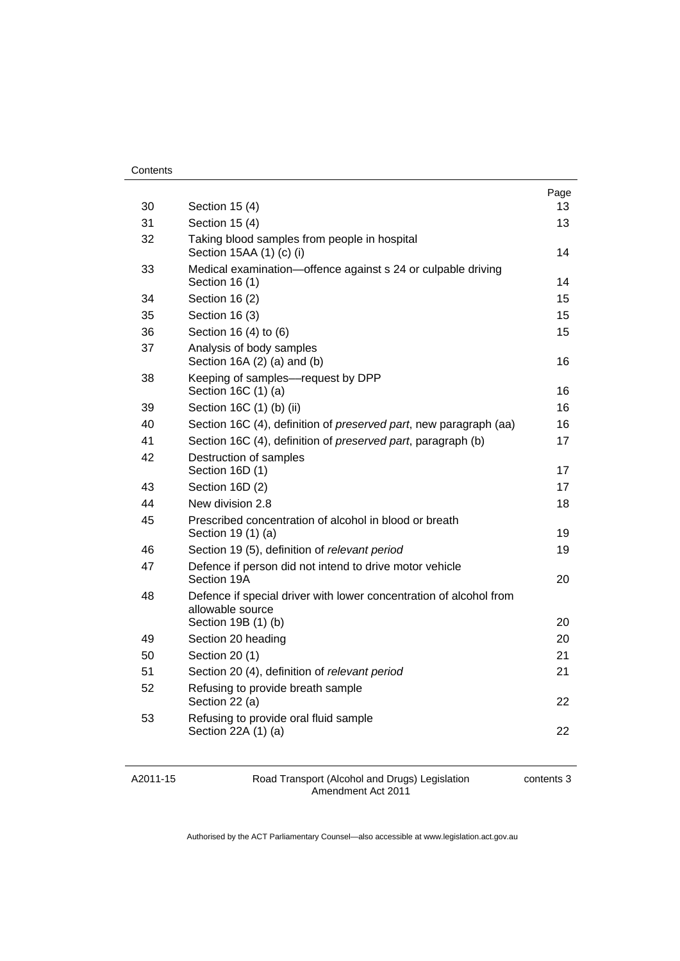| Contents |
|----------|
|----------|

| 30 | Section 15 (4)                                                                         | Page<br>13 |
|----|----------------------------------------------------------------------------------------|------------|
| 31 | Section 15 (4)                                                                         | 13         |
| 32 | Taking blood samples from people in hospital<br>Section 15AA (1) (c) (i)               | 14         |
| 33 | Medical examination-offence against s 24 or culpable driving<br>Section 16 (1)         | 14         |
| 34 | Section 16 (2)                                                                         | 15         |
| 35 | Section 16 (3)                                                                         | 15         |
| 36 | Section 16 (4) to (6)                                                                  | 15         |
| 37 | Analysis of body samples<br>Section $16A(2)$ (a) and (b)                               | 16         |
| 38 | Keeping of samples-request by DPP<br>Section 16C (1) (a)                               | 16         |
| 39 | Section 16C (1) (b) (ii)                                                               | 16         |
| 40 | Section 16C (4), definition of <i>preserved part</i> , new paragraph (aa)              | 16         |
| 41 | Section 16C (4), definition of preserved part, paragraph (b)                           | 17         |
| 42 | Destruction of samples<br>Section 16D (1)                                              | 17         |
| 43 | Section 16D (2)                                                                        | 17         |
| 44 | New division 2.8                                                                       | 18         |
| 45 | Prescribed concentration of alcohol in blood or breath<br>Section 19 (1) (a)           | 19         |
| 46 | Section 19 (5), definition of relevant period                                          | 19         |
| 47 | Defence if person did not intend to drive motor vehicle<br>Section 19A                 | 20         |
| 48 | Defence if special driver with lower concentration of alcohol from<br>allowable source |            |
|    | Section 19B (1) (b)                                                                    | 20         |
| 49 | Section 20 heading                                                                     | 20         |
| 50 | Section 20 (1)                                                                         | 21         |
| 51 | Section 20 (4), definition of relevant period                                          | 21         |
| 52 | Refusing to provide breath sample<br>Section 22 (a)                                    | 22         |
| 53 | Refusing to provide oral fluid sample<br>Section 22A (1) (a)                           | 22         |

A2011-15

Road Transport (Alcohol and Drugs) Legislation Amendment Act 2011

contents 3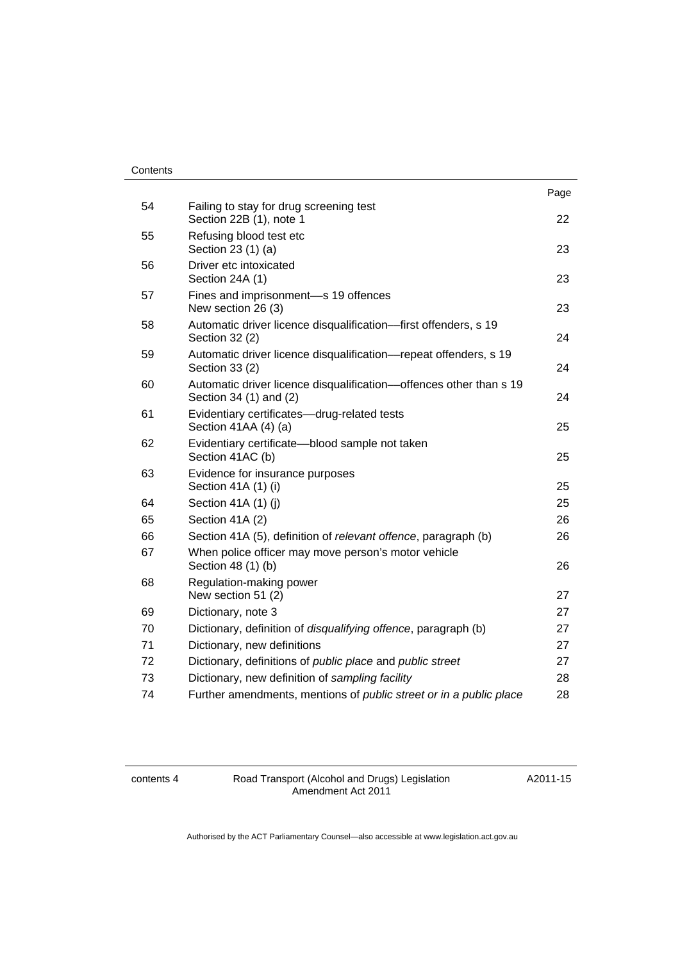#### **Contents**

|    |                                                                                              | Page |
|----|----------------------------------------------------------------------------------------------|------|
| 54 | Failing to stay for drug screening test<br>Section 22B (1), note 1                           | 22   |
| 55 | Refusing blood test etc<br>Section 23 (1) (a)                                                | 23   |
| 56 | Driver etc intoxicated<br>Section 24A (1)                                                    | 23   |
| 57 | Fines and imprisonment-s 19 offences<br>New section 26 (3)                                   | 23   |
| 58 | Automatic driver licence disqualification--first offenders, s 19<br>Section 32 (2)           | 24   |
| 59 | Automatic driver licence disqualification-repeat offenders, s 19<br>Section 33 (2)           | 24   |
| 60 | Automatic driver licence disqualification-offences other than s 19<br>Section 34 (1) and (2) | 24   |
| 61 | Evidentiary certificates-drug-related tests<br>Section 41AA (4) (a)                          | 25   |
| 62 | Evidentiary certificate-blood sample not taken<br>Section 41AC (b)                           | 25   |
| 63 | Evidence for insurance purposes<br>Section 41A (1) (i)                                       | 25   |
| 64 | Section 41A (1) (j)                                                                          | 25   |
| 65 | Section 41A (2)                                                                              | 26   |
| 66 | Section 41A (5), definition of relevant offence, paragraph (b)                               | 26   |
| 67 | When police officer may move person's motor vehicle<br>Section 48 (1) (b)                    | 26   |
| 68 | Regulation-making power<br>New section 51 (2)                                                | 27   |
| 69 | Dictionary, note 3                                                                           | 27   |
| 70 | Dictionary, definition of disqualifying offence, paragraph (b)                               | 27   |
| 71 | Dictionary, new definitions                                                                  | 27   |
| 72 | Dictionary, definitions of <i>public place</i> and <i>public street</i>                      | 27   |
| 73 | Dictionary, new definition of sampling facility                                              | 28   |
| 74 | Further amendments, mentions of <i>public street or in a public place</i>                    | 28   |
|    |                                                                                              |      |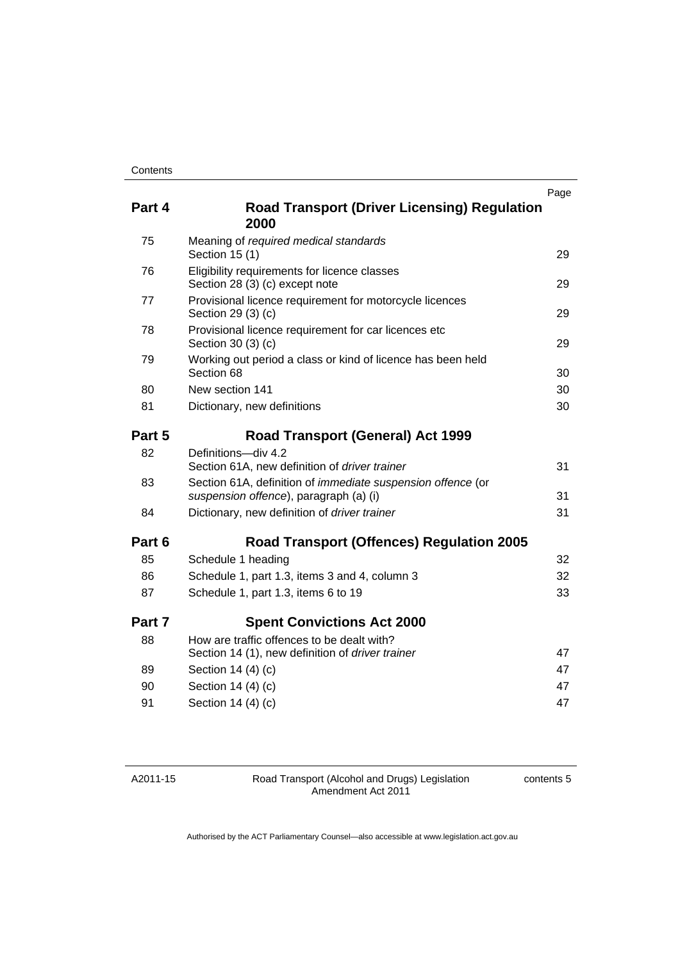| Part 4 | <b>Road Transport (Driver Licensing) Regulation</b><br>2000                                           | Page |
|--------|-------------------------------------------------------------------------------------------------------|------|
| 75     | Meaning of required medical standards<br>Section 15 (1)                                               | 29   |
| 76     | Eligibility requirements for licence classes<br>Section 28 (3) (c) except note                        | 29   |
| 77     | Provisional licence requirement for motorcycle licences<br>Section 29 (3) (c)                         | 29   |
| 78     | Provisional licence requirement for car licences etc<br>Section 30 (3) (c)                            | 29   |
| 79     | Working out period a class or kind of licence has been held<br>Section 68                             | 30   |
| 80     | New section 141                                                                                       | 30   |
| 81     | Dictionary, new definitions                                                                           | 30   |
| Part 5 | <b>Road Transport (General) Act 1999</b>                                                              |      |
| 82     | Definitions-div 4.2<br>Section 61A, new definition of driver trainer                                  | 31   |
| 83     | Section 61A, definition of immediate suspension offence (or<br>suspension offence), paragraph (a) (i) | 31   |
| 84     | Dictionary, new definition of driver trainer                                                          | 31   |
| Part 6 | <b>Road Transport (Offences) Regulation 2005</b>                                                      |      |
| 85     | Schedule 1 heading                                                                                    | 32   |
| 86     | Schedule 1, part 1.3, items 3 and 4, column 3                                                         | 32   |
| 87     | Schedule 1, part 1.3, items 6 to 19                                                                   | 33   |
| Part 7 | <b>Spent Convictions Act 2000</b>                                                                     |      |
| 88     | How are traffic offences to be dealt with?<br>Section 14 (1), new definition of driver trainer        | 47   |
| 89     | Section 14 (4) (c)                                                                                    | 47   |
| 90     | Section 14 (4) (c)                                                                                    | 47   |
| 91     | Section 14 (4) (c)                                                                                    | 47   |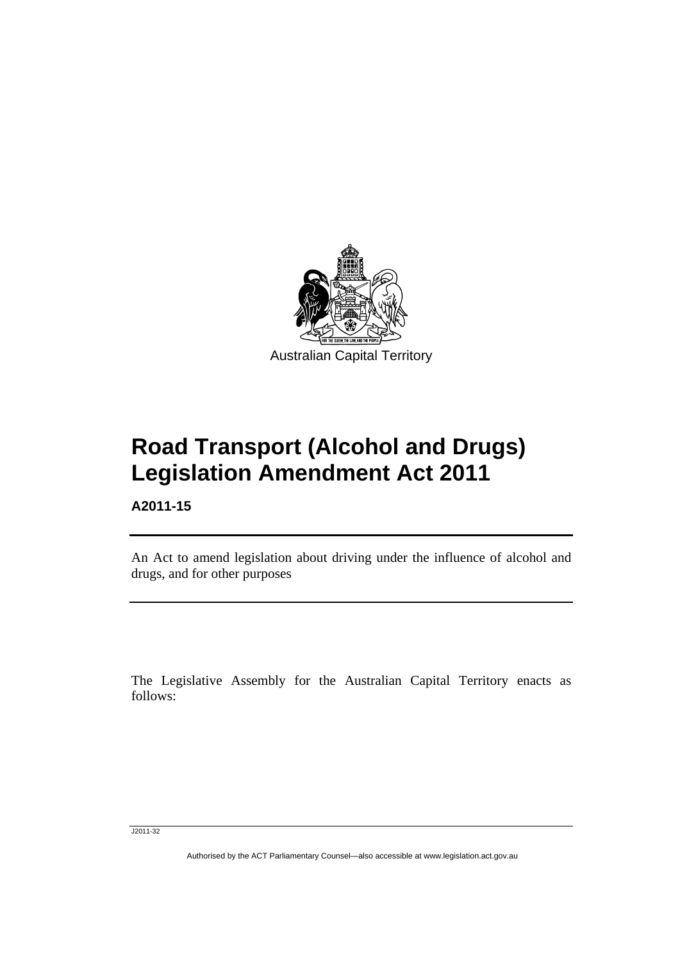<span id="page-6-0"></span>

# **Road Transport (Alcohol and Drugs) Legislation Amendment Act 2011**

**A2011-15** 

l

An Act to amend legislation about driving under the influence of alcohol and drugs, and for other purposes

The Legislative Assembly for the Australian Capital Territory enacts as follows:

J2011-32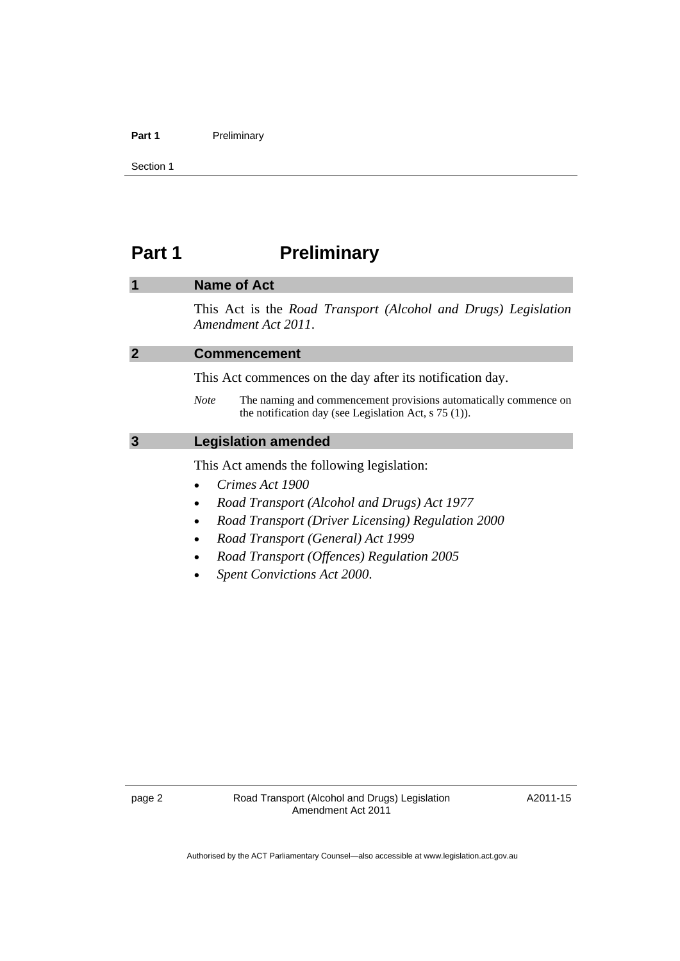#### <span id="page-7-0"></span>Part 1 **Preliminary**

Section 1

# Part 1 **Preliminary**

|                | <b>Name of Act</b>                                                                                                                         |
|----------------|--------------------------------------------------------------------------------------------------------------------------------------------|
|                | This Act is the Road Transport (Alcohol and Drugs) Legislation<br>Amendment Act 2011.                                                      |
| $\overline{2}$ | <b>Commencement</b>                                                                                                                        |
|                | This Act commences on the day after its notification day.                                                                                  |
|                | The naming and commencement provisions automatically commence on<br><b>Note</b><br>the notification day (see Legislation Act, $s$ 75 (1)). |
| 3              | <b>Legislation amended</b>                                                                                                                 |
|                | This Act amends the following legislation:                                                                                                 |
|                | Crimes Act 1900                                                                                                                            |
|                | Road Transport (Alcohol and Drugs) Act 1977<br>$\bullet$                                                                                   |
|                | Road Transport (Driver Licensing) Regulation 2000                                                                                          |
|                | Road Transport (General) Act 1999                                                                                                          |
|                | Road Transport (Offences) Regulation 2005                                                                                                  |
|                | <b>Spent Convictions Act 2000.</b>                                                                                                         |
|                |                                                                                                                                            |
|                |                                                                                                                                            |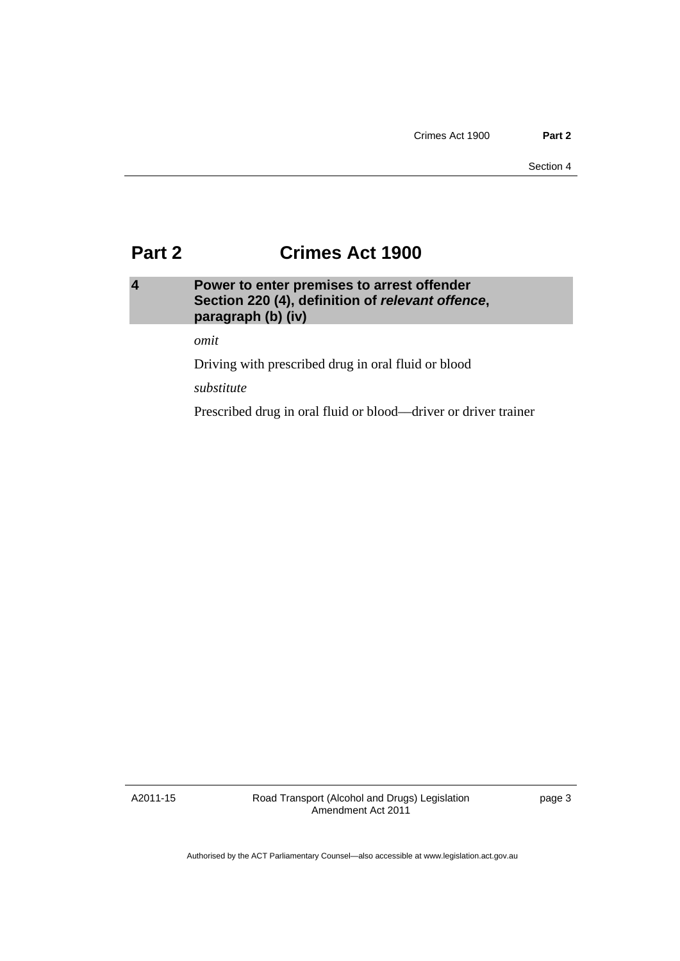# <span id="page-8-0"></span>**Part 2 Crimes Act 1900**

# **4 Power to enter premises to arrest offender Section 220 (4), definition of** *relevant offence***, paragraph (b) (iv)**

*omit* 

Driving with prescribed drug in oral fluid or blood

*substitute* 

Prescribed drug in oral fluid or blood––driver or driver trainer

A2011-15

Road Transport (Alcohol and Drugs) Legislation Amendment Act 2011

page 3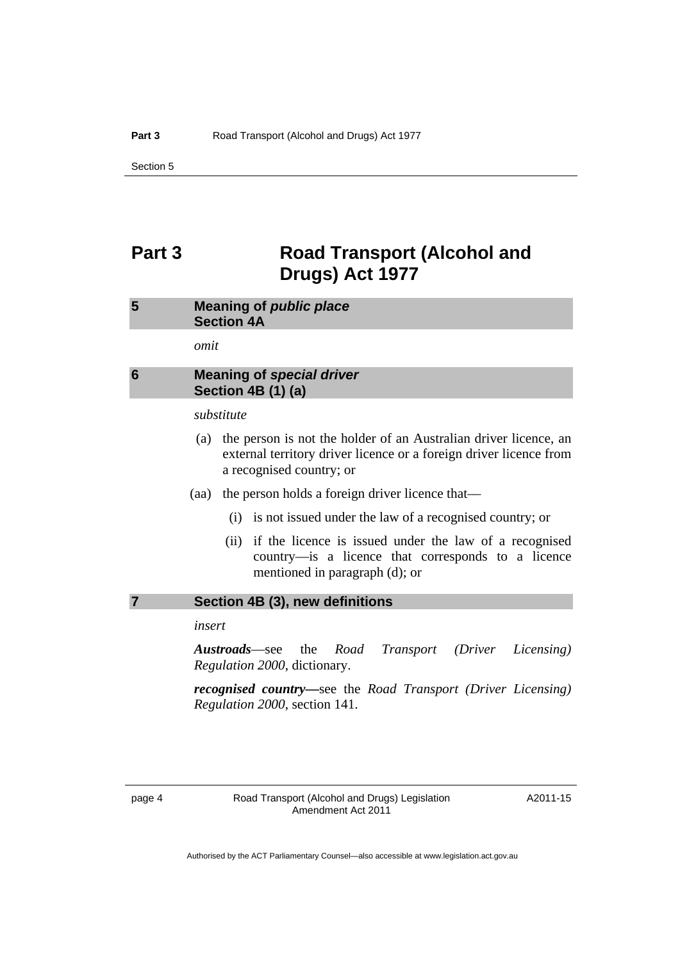# <span id="page-9-0"></span>**Part 3 Road Transport (Alcohol and Drugs) Act 1977**

# **5 Meaning of** *public place*  **Section 4A**

*omit* 

## **6 Meaning of** *special driver*  **Section 4B (1) (a)**

#### *substitute*

- (a) the person is not the holder of an Australian driver licence, an external territory driver licence or a foreign driver licence from a recognised country; or
- (aa) the person holds a foreign driver licence that––
	- (i) is not issued under the law of a recognised country; or
	- (ii) if the licence is issued under the law of a recognised country––is a licence that corresponds to a licence mentioned in paragraph (d); or

#### **7 Section 4B (3), new definitions**

*insert* 

*Austroads*––see the *Road Transport (Driver Licensing) Regulation 2000*, dictionary.

*recognised country***––**see the *Road Transport (Driver Licensing) Regulation 2000*, section 141.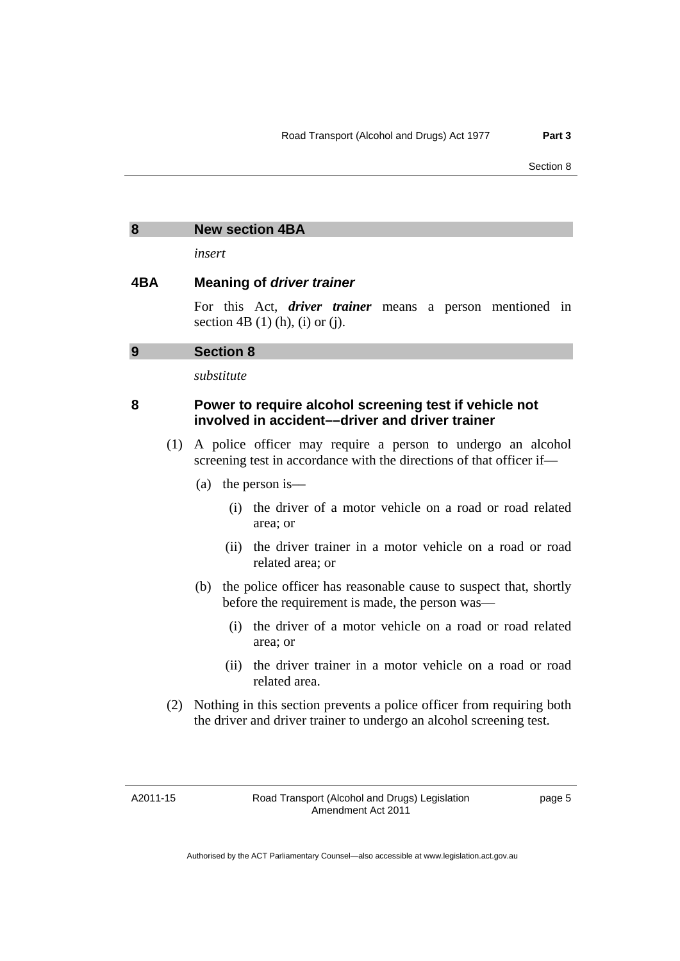#### <span id="page-10-0"></span>**8 New section 4BA**

*insert* 

#### **4BA Meaning of** *driver trainer*

For this Act, *driver trainer* means a person mentioned in section 4B  $(1)$  (h),  $(i)$  or  $(i)$ .

#### **9 Section 8**

*substitute* 

## **8 Power to require alcohol screening test if vehicle not involved in accident––driver and driver trainer**

- (1) A police officer may require a person to undergo an alcohol screening test in accordance with the directions of that officer if—
	- (a) the person is––
		- (i) the driver of a motor vehicle on a road or road related area; or
		- (ii) the driver trainer in a motor vehicle on a road or road related area; or
	- (b) the police officer has reasonable cause to suspect that, shortly before the requirement is made, the person was––
		- (i) the driver of a motor vehicle on a road or road related area; or
		- (ii) the driver trainer in a motor vehicle on a road or road related area.
- (2) Nothing in this section prevents a police officer from requiring both the driver and driver trainer to undergo an alcohol screening test.

A2011-15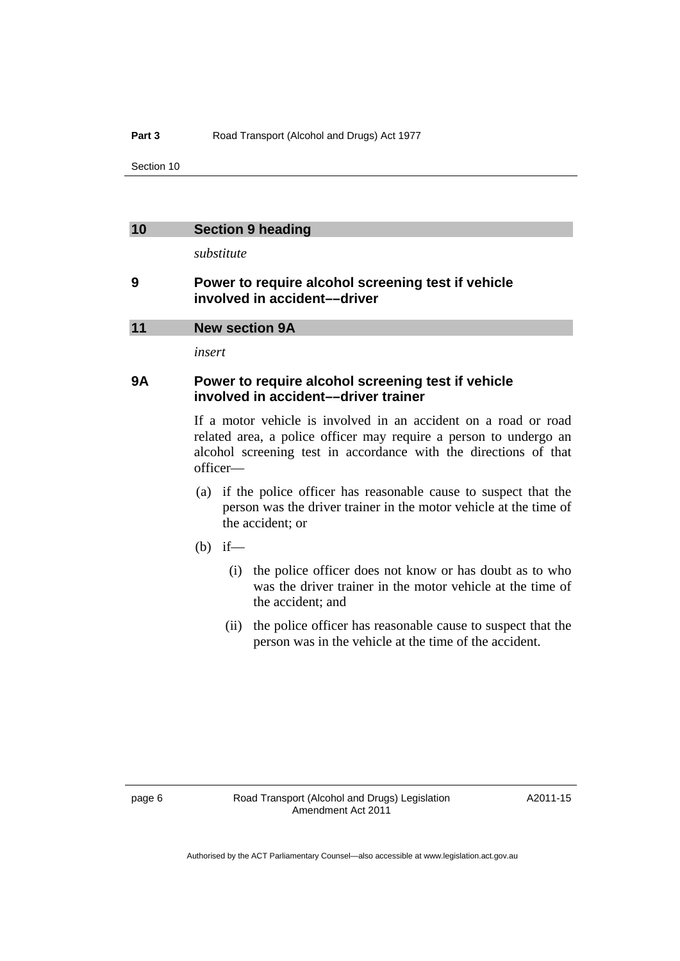#### <span id="page-11-0"></span>**10 Section 9 heading**

*substitute* 

### **9 Power to require alcohol screening test if vehicle involved in accident––driver**

#### **11 New section 9A**

*insert* 

### **9A Power to require alcohol screening test if vehicle involved in accident––driver trainer**

If a motor vehicle is involved in an accident on a road or road related area, a police officer may require a person to undergo an alcohol screening test in accordance with the directions of that officer—

- (a) if the police officer has reasonable cause to suspect that the person was the driver trainer in the motor vehicle at the time of the accident; or
- $(b)$  if—
	- (i) the police officer does not know or has doubt as to who was the driver trainer in the motor vehicle at the time of the accident; and
	- (ii) the police officer has reasonable cause to suspect that the person was in the vehicle at the time of the accident.

A2011-15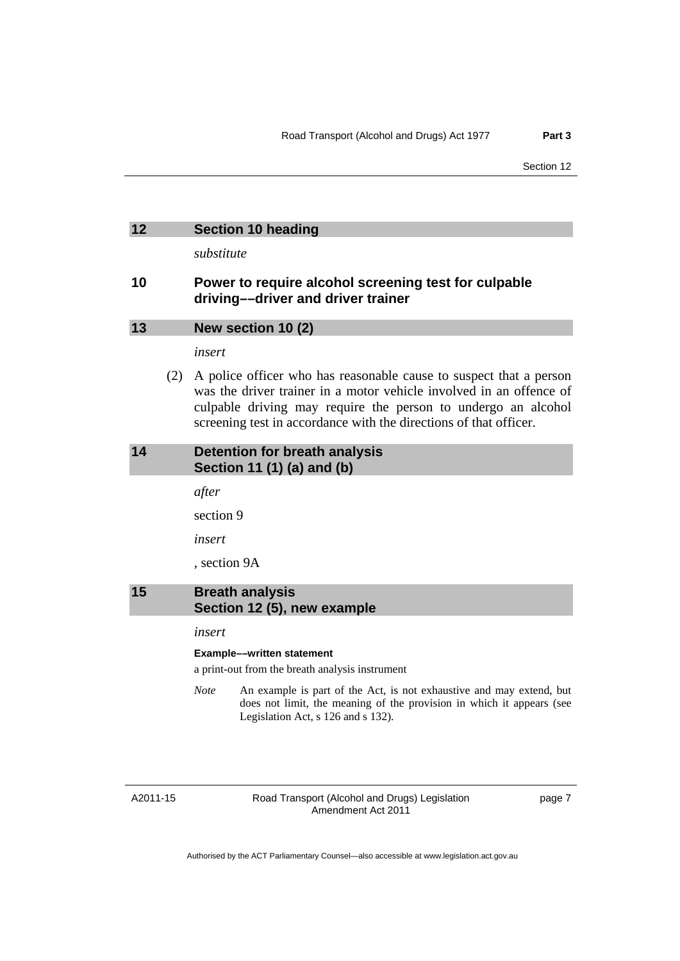#### <span id="page-12-0"></span>**12 Section 10 heading**

*substitute* 

### **10 Power to require alcohol screening test for culpable driving––driver and driver trainer**

#### **13 New section 10 (2)**

*insert* 

 (2) A police officer who has reasonable cause to suspect that a person was the driver trainer in a motor vehicle involved in an offence of culpable driving may require the person to undergo an alcohol screening test in accordance with the directions of that officer.

#### **14 Detention for breath analysis Section 11 (1) (a) and (b)**

*after* 

section 9

*insert* 

, section 9A

#### **15 Breath analysis Section 12 (5), new example**

#### *insert*

#### **Example––written statement**

a print-out from the breath analysis instrument

*Note* An example is part of the Act, is not exhaustive and may extend, but does not limit, the meaning of the provision in which it appears (see Legislation Act, s 126 and s 132).

A2011-15

Road Transport (Alcohol and Drugs) Legislation Amendment Act 2011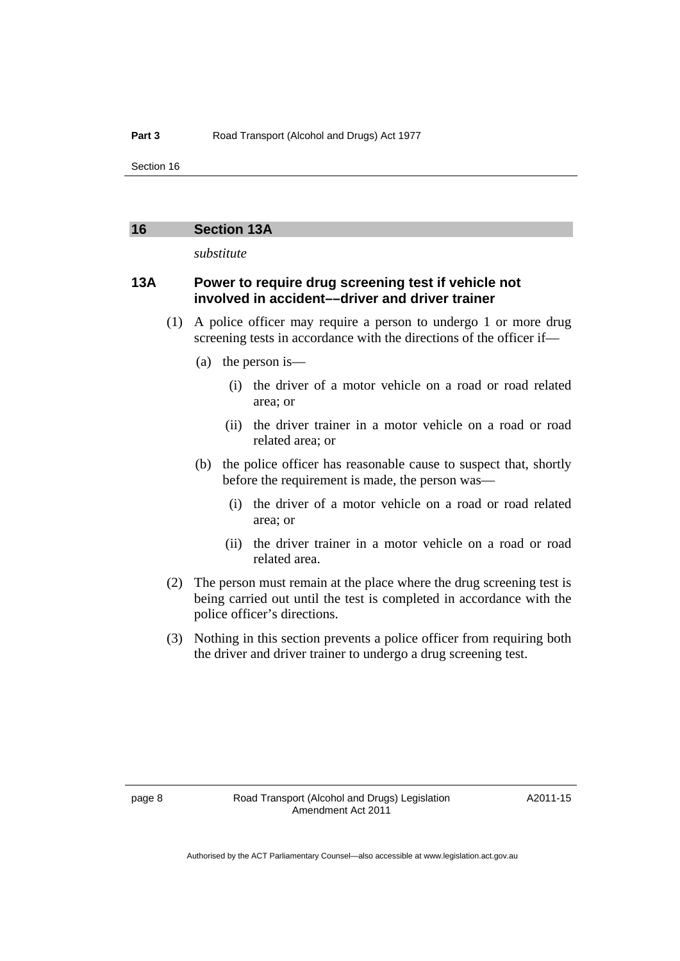#### <span id="page-13-0"></span>**16 Section 13A**

*substitute* 

### **13A Power to require drug screening test if vehicle not involved in accident––driver and driver trainer**

- (1) A police officer may require a person to undergo 1 or more drug screening tests in accordance with the directions of the officer if—
	- (a) the person is—
		- (i) the driver of a motor vehicle on a road or road related area; or
		- (ii) the driver trainer in a motor vehicle on a road or road related area; or
	- (b) the police officer has reasonable cause to suspect that, shortly before the requirement is made, the person was––
		- (i) the driver of a motor vehicle on a road or road related area; or
		- (ii) the driver trainer in a motor vehicle on a road or road related area.
- (2) The person must remain at the place where the drug screening test is being carried out until the test is completed in accordance with the police officer's directions.
- (3) Nothing in this section prevents a police officer from requiring both the driver and driver trainer to undergo a drug screening test.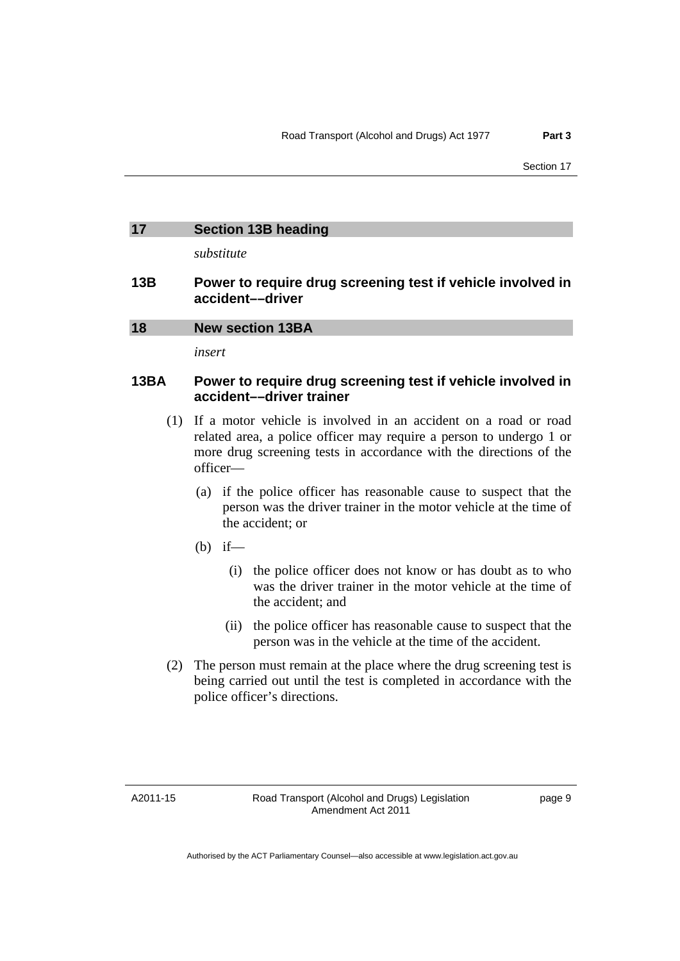# <span id="page-14-0"></span>**17 Section 13B heading**

*substitute* 

#### **13B Power to require drug screening test if vehicle involved in accident––driver**

#### **18 New section 13BA**

*insert* 

# **13BA Power to require drug screening test if vehicle involved in accident––driver trainer**

- (1) If a motor vehicle is involved in an accident on a road or road related area, a police officer may require a person to undergo 1 or more drug screening tests in accordance with the directions of the officer—
	- (a) if the police officer has reasonable cause to suspect that the person was the driver trainer in the motor vehicle at the time of the accident; or
	- $(b)$  if—
		- (i) the police officer does not know or has doubt as to who was the driver trainer in the motor vehicle at the time of the accident; and
		- (ii) the police officer has reasonable cause to suspect that the person was in the vehicle at the time of the accident.
- (2) The person must remain at the place where the drug screening test is being carried out until the test is completed in accordance with the police officer's directions.

A2011-15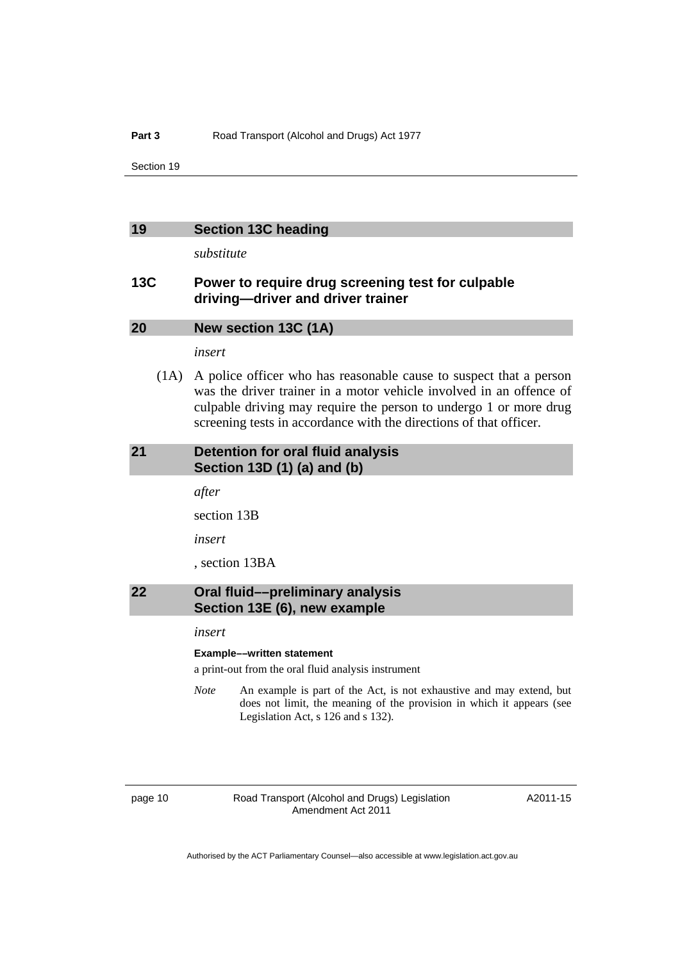#### <span id="page-15-0"></span>**19 Section 13C heading**

*substitute* 

### **13C Power to require drug screening test for culpable driving—driver and driver trainer**

#### **20 New section 13C (1A)**

*insert* 

 (1A) A police officer who has reasonable cause to suspect that a person was the driver trainer in a motor vehicle involved in an offence of culpable driving may require the person to undergo 1 or more drug screening tests in accordance with the directions of that officer.

#### **21 Detention for oral fluid analysis Section 13D (1) (a) and (b)**

*after* 

section 13B

*insert* 

, section 13BA

#### **22 Oral fluid––preliminary analysis Section 13E (6), new example**

#### *insert*

#### **Example––written statement**

a print-out from the oral fluid analysis instrument

*Note* An example is part of the Act, is not exhaustive and may extend, but does not limit, the meaning of the provision in which it appears (see Legislation Act, s 126 and s 132).

page 10 Road Transport (Alcohol and Drugs) Legislation Amendment Act 2011

A2011-15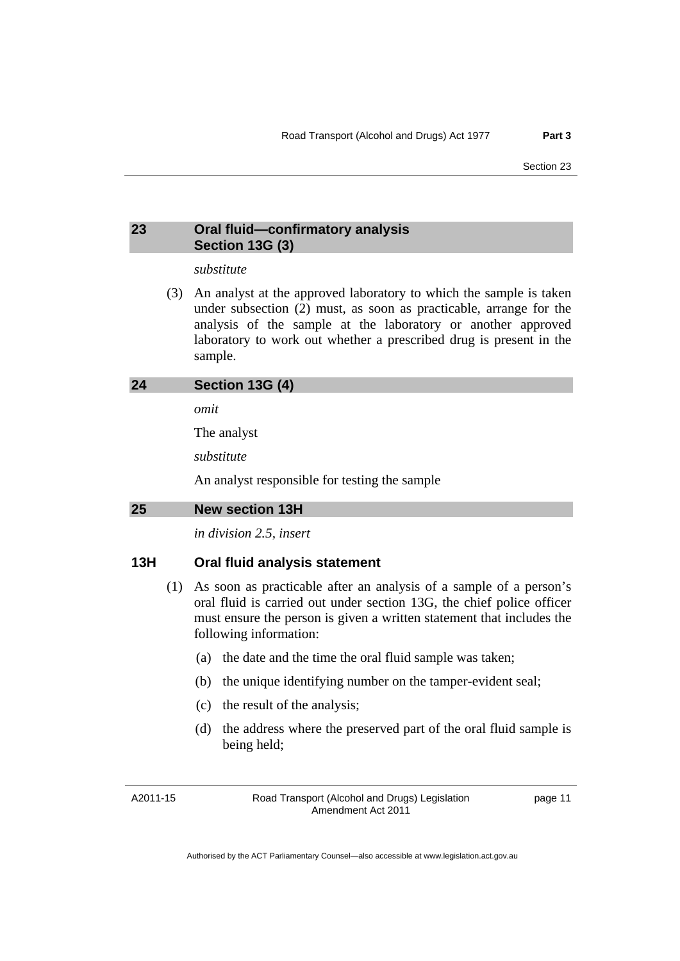### <span id="page-16-0"></span>**23 Oral fluid—confirmatory analysis Section 13G (3)**

#### *substitute*

 (3) An analyst at the approved laboratory to which the sample is taken under subsection (2) must, as soon as practicable, arrange for the analysis of the sample at the laboratory or another approved laboratory to work out whether a prescribed drug is present in the sample.

| 24 | Section 13G (4) |  |  |  |
|----|-----------------|--|--|--|
|----|-----------------|--|--|--|

*omit* 

The analyst

*substitute* 

An analyst responsible for testing the sample

**25 New section 13H** 

*in division 2.5, insert* 

#### **13H Oral fluid analysis statement**

- (1) As soon as practicable after an analysis of a sample of a person's oral fluid is carried out under section 13G, the chief police officer must ensure the person is given a written statement that includes the following information:
	- (a) the date and the time the oral fluid sample was taken;
	- (b) the unique identifying number on the tamper-evident seal;
	- (c) the result of the analysis;
	- (d) the address where the preserved part of the oral fluid sample is being held;

A2011-15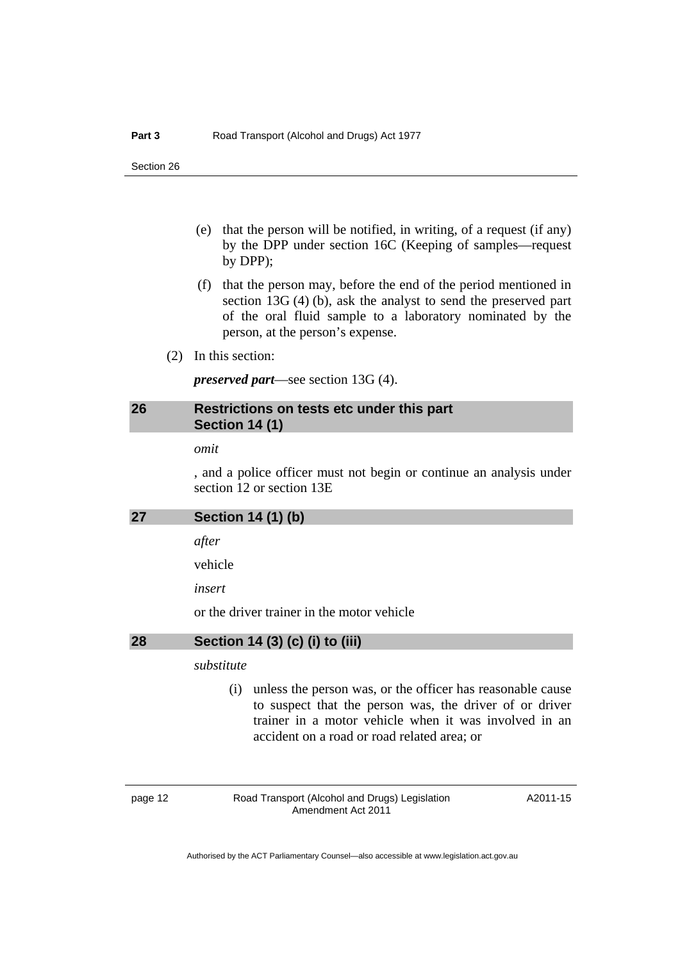- <span id="page-17-0"></span> (e) that the person will be notified, in writing, of a request (if any) by the DPP under section 16C (Keeping of samples—request by DPP);
- (f) that the person may, before the end of the period mentioned in section 13G (4) (b), ask the analyst to send the preserved part of the oral fluid sample to a laboratory nominated by the person, at the person's expense.
- (2) In this section:

*preserved part*—see section 13G (4).

# **26 Restrictions on tests etc under this part Section 14 (1)**

#### *omit*

, and a police officer must not begin or continue an analysis under section 12 or section 13E

| 27 | Section 14 (1) (b) |  |  |
|----|--------------------|--|--|
|    |                    |  |  |

*after* 

vehicle

*insert* 

or the driver trainer in the motor vehicle

#### **28 Section 14 (3) (c) (i) to (iii)**

#### *substitute*

 (i) unless the person was, or the officer has reasonable cause to suspect that the person was, the driver of or driver trainer in a motor vehicle when it was involved in an accident on a road or road related area; or

page 12 Road Transport (Alcohol and Drugs) Legislation Amendment Act 2011

A2011-15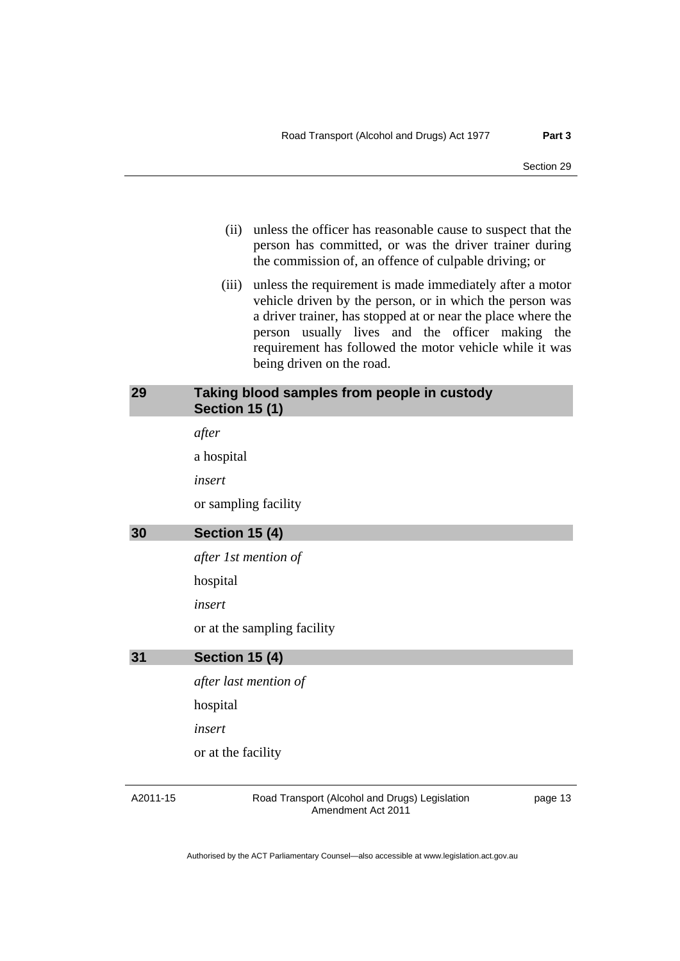- <span id="page-18-0"></span> (ii) unless the officer has reasonable cause to suspect that the person has committed, or was the driver trainer during the commission of, an offence of culpable driving; or
- (iii) unless the requirement is made immediately after a motor vehicle driven by the person, or in which the person was a driver trainer, has stopped at or near the place where the person usually lives and the officer making the requirement has followed the motor vehicle while it was being driven on the road.

#### **29 Taking blood samples from people in custody Section 15 (1)**

*after* 

a hospital

*insert* 

or sampling facility

#### **30 Section 15 (4)**

*after 1st mention of* 

hospital

*insert* 

or at the sampling facility

#### **31 Section 15 (4)**

*after last mention of*  hospital *insert*  or at the facility

#### A2011-15

Road Transport (Alcohol and Drugs) Legislation Amendment Act 2011

page 13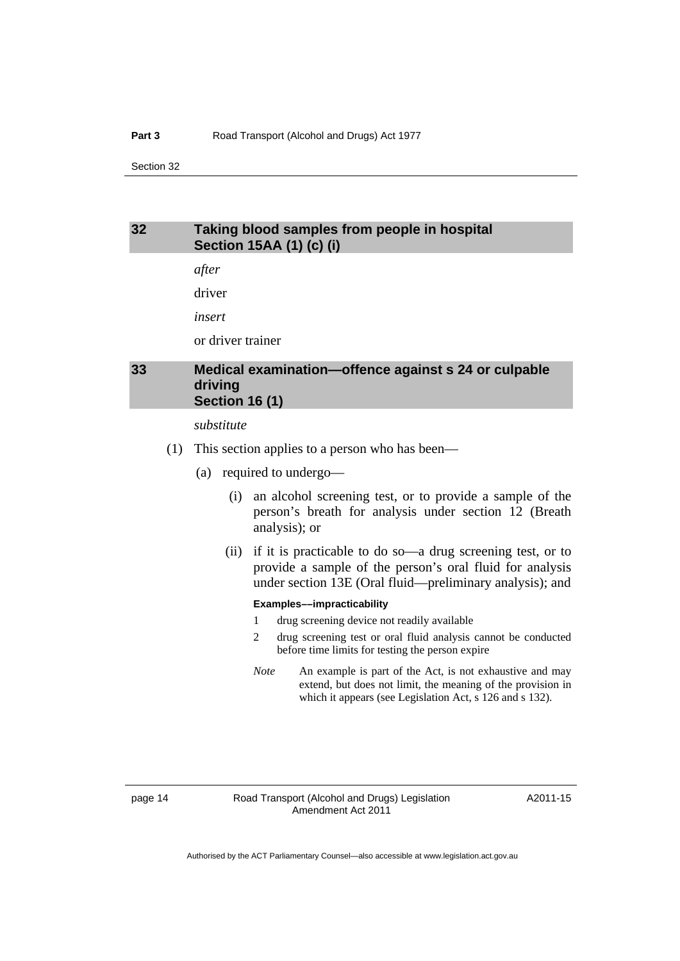### <span id="page-19-0"></span>**32 Taking blood samples from people in hospital Section 15AA (1) (c) (i)**

*after* 

driver

*insert* 

or driver trainer

## **33 Medical examination—offence against s 24 or culpable driving Section 16 (1)**

*substitute* 

- (1) This section applies to a person who has been––
	- (a) required to undergo––
		- (i) an alcohol screening test, or to provide a sample of the person's breath for analysis under section 12 (Breath analysis); or
		- (ii) if it is practicable to do so––a drug screening test, or to provide a sample of the person's oral fluid for analysis under section 13E (Oral fluid––preliminary analysis); and

#### **Examples––impracticability**

- 1 drug screening device not readily available
- 2 drug screening test or oral fluid analysis cannot be conducted before time limits for testing the person expire
- *Note* An example is part of the Act, is not exhaustive and may extend, but does not limit, the meaning of the provision in which it appears (see Legislation Act, s 126 and s 132).

A2011-15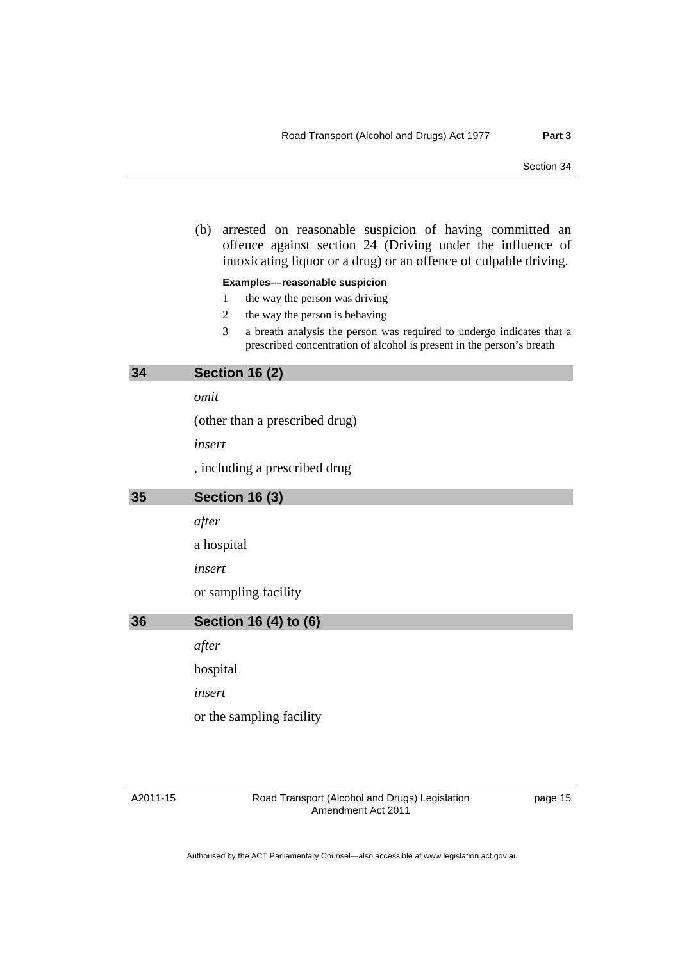<span id="page-20-0"></span> (b) arrested on reasonable suspicion of having committed an offence against section 24 (Driving under the influence of intoxicating liquor or a drug) or an offence of culpable driving.

#### **Examples––reasonable suspicion**

- 1 the way the person was driving
- 2 the way the person is behaving
- 3 a breath analysis the person was required to undergo indicates that a prescribed concentration of alcohol is present in the person's breath

#### **34 Section 16 (2)**

*omit* 

(other than a prescribed drug)

*insert* 

, including a prescribed drug

#### **35 Section 16 (3)**

*after* 

a hospital

*insert* 

or sampling facility

**36 Section 16 (4) to (6)** 

*after* 

hospital

*insert* 

or the sampling facility

A2011-15

Road Transport (Alcohol and Drugs) Legislation Amendment Act 2011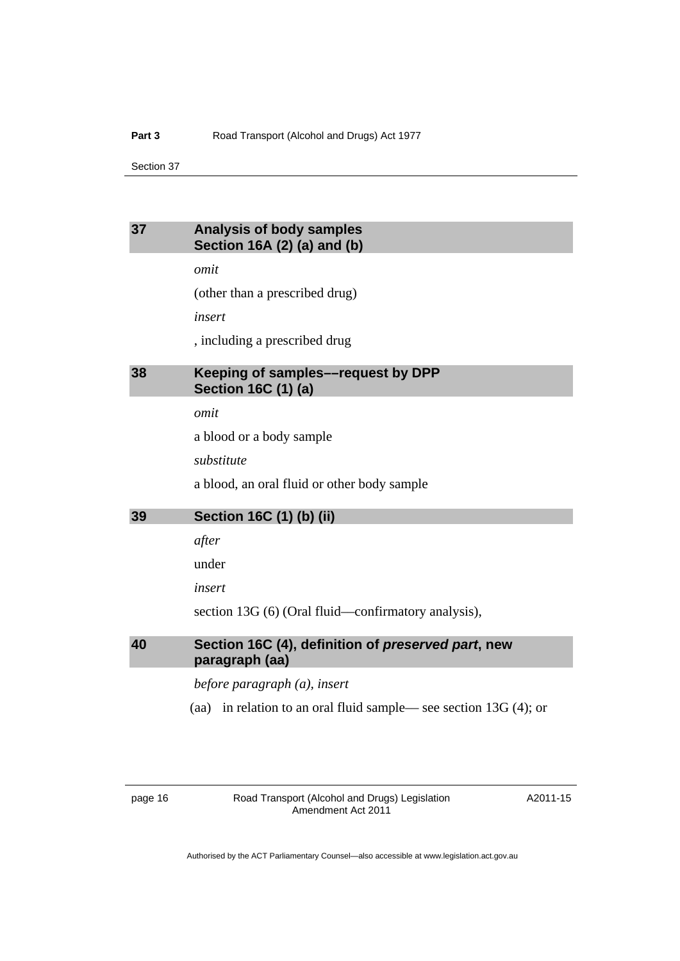## <span id="page-21-0"></span>**37 Analysis of body samples Section 16A (2) (a) and (b)**

*omit* 

(other than a prescribed drug)

*insert* 

, including a prescribed drug

# **38 Keeping of samples––request by DPP Section 16C (1) (a)**

*omit* 

a blood or a body sample

*substitute* 

a blood, an oral fluid or other body sample

#### **39 Section 16C (1) (b) (ii)**

*after* 

under

*insert* 

section 13G (6) (Oral fluid—confirmatory analysis),

### **40 Section 16C (4), definition of** *preserved part***, new paragraph (aa)**

*before paragraph (a), insert* 

(aa) in relation to an oral fluid sample–– see section 13G (4); or

page 16 Road Transport (Alcohol and Drugs) Legislation Amendment Act 2011

A2011-15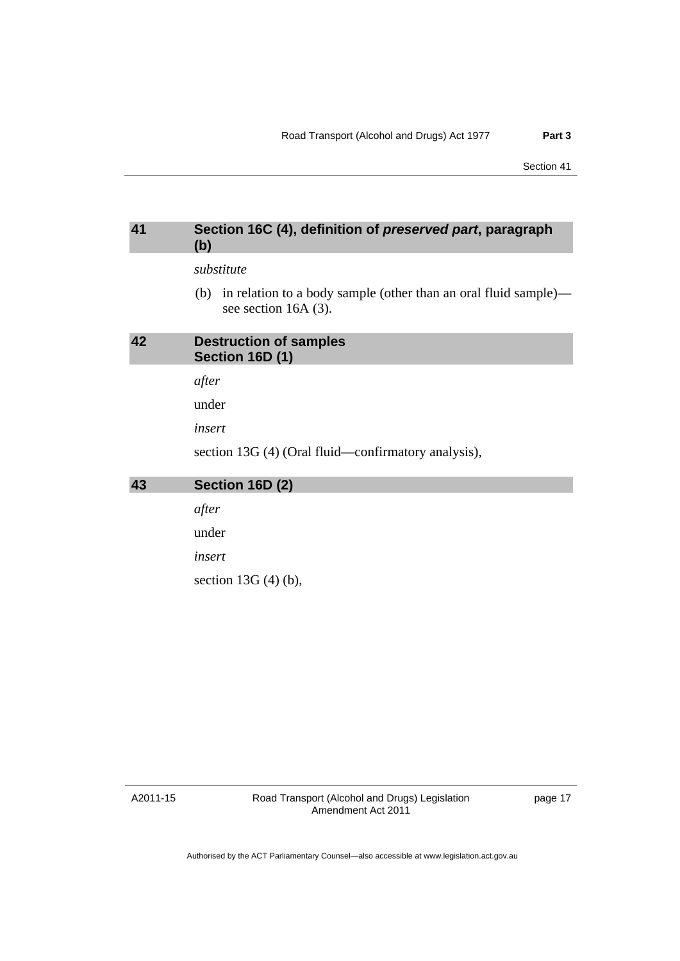#### <span id="page-22-0"></span>**41 Section 16C (4), definition of** *preserved part***, paragraph (b)**

#### *substitute*

 (b) in relation to a body sample (other than an oral fluid sample) see section 16A (3).

# **42 Destruction of samples Section 16D (1)**

*after* 

under

*insert* 

section 13G (4) (Oral fluid—confirmatory analysis),

# **43 Section 16D (2)**

*after* 

under

*insert* 

section 13G (4) (b),

A2011-15

Road Transport (Alcohol and Drugs) Legislation Amendment Act 2011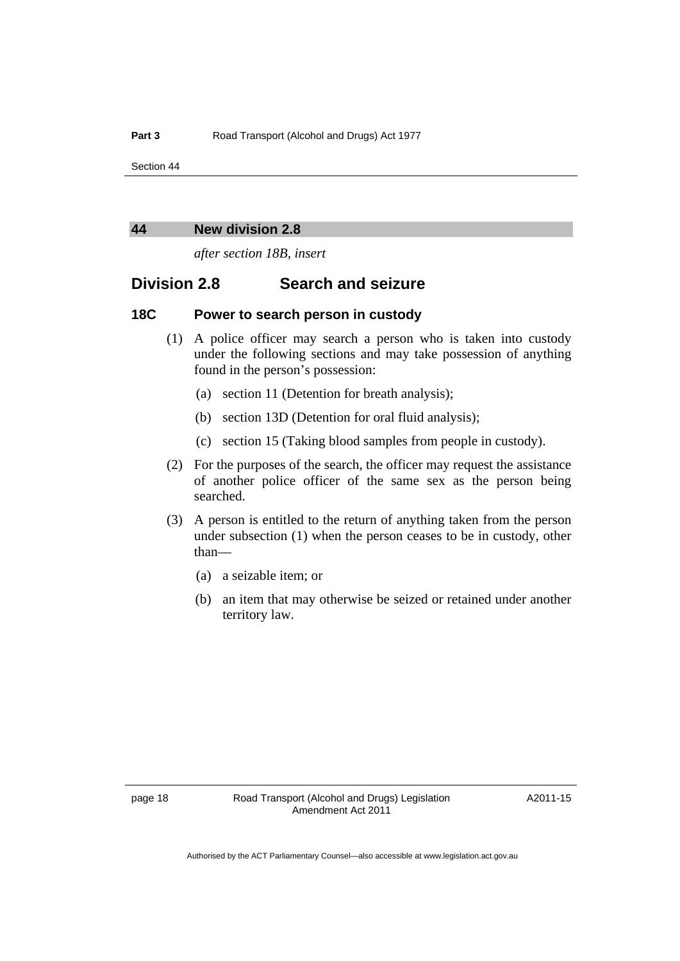#### <span id="page-23-0"></span>**44 New division 2.8**

*after section 18B, insert* 

# **Division 2.8 Search and seizure**

#### **18C Power to search person in custody**

- (1) A police officer may search a person who is taken into custody under the following sections and may take possession of anything found in the person's possession:
	- (a) section 11 (Detention for breath analysis);
	- (b) section 13D (Detention for oral fluid analysis);
	- (c) section 15 (Taking blood samples from people in custody).
- (2) For the purposes of the search, the officer may request the assistance of another police officer of the same sex as the person being searched.
- (3) A person is entitled to the return of anything taken from the person under subsection (1) when the person ceases to be in custody, other than––
	- (a) a seizable item; or
	- (b) an item that may otherwise be seized or retained under another territory law.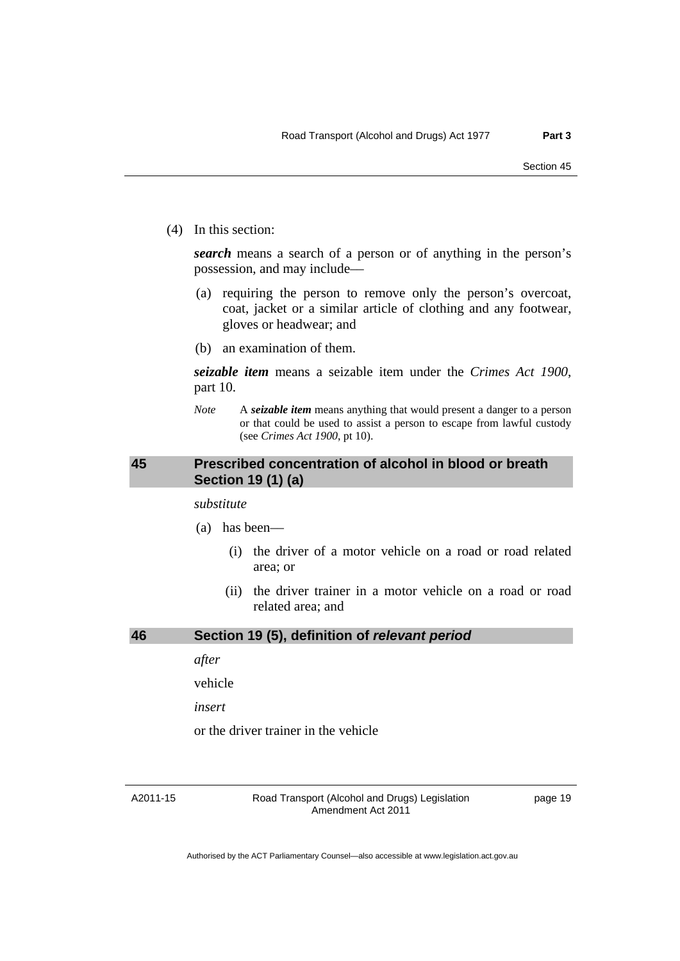<span id="page-24-0"></span>(4) In this section:

*search* means a search of a person or of anything in the person's possession, and may include––

- (a) requiring the person to remove only the person's overcoat, coat, jacket or a similar article of clothing and any footwear, gloves or headwear; and
- (b) an examination of them.

*seizable item* means a seizable item under the *Crimes Act 1900*, part 10.

*Note* A *seizable item* means anything that would present a danger to a person or that could be used to assist a person to escape from lawful custody (see *Crimes Act 1900*, pt 10).

### **45 Prescribed concentration of alcohol in blood or breath Section 19 (1) (a)**

*substitute* 

- (a) has been––
	- (i) the driver of a motor vehicle on a road or road related area; or
	- (ii) the driver trainer in a motor vehicle on a road or road related area; and

#### **46 Section 19 (5), definition of** *relevant period*

*after* 

vehicle

*insert* 

or the driver trainer in the vehicle

A2011-15

Road Transport (Alcohol and Drugs) Legislation Amendment Act 2011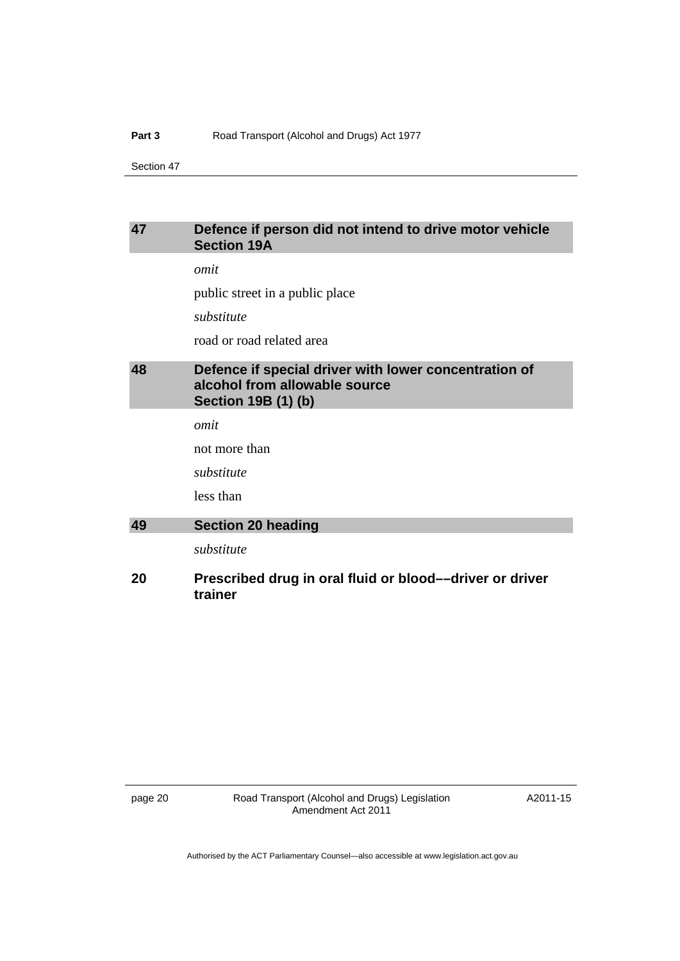### <span id="page-25-0"></span>**47 Defence if person did not intend to drive motor vehicle Section 19A**

*omit* 

public street in a public place

*substitute* 

road or road related area

# **48 Defence if special driver with lower concentration of alcohol from allowable source Section 19B (1) (b)**

*omit* 

not more than

*substitute* 

less than

# **49 Section 20 heading**

*substitute* 

### **20 Prescribed drug in oral fluid or blood––driver or driver trainer**

page 20 Road Transport (Alcohol and Drugs) Legislation Amendment Act 2011

A2011-15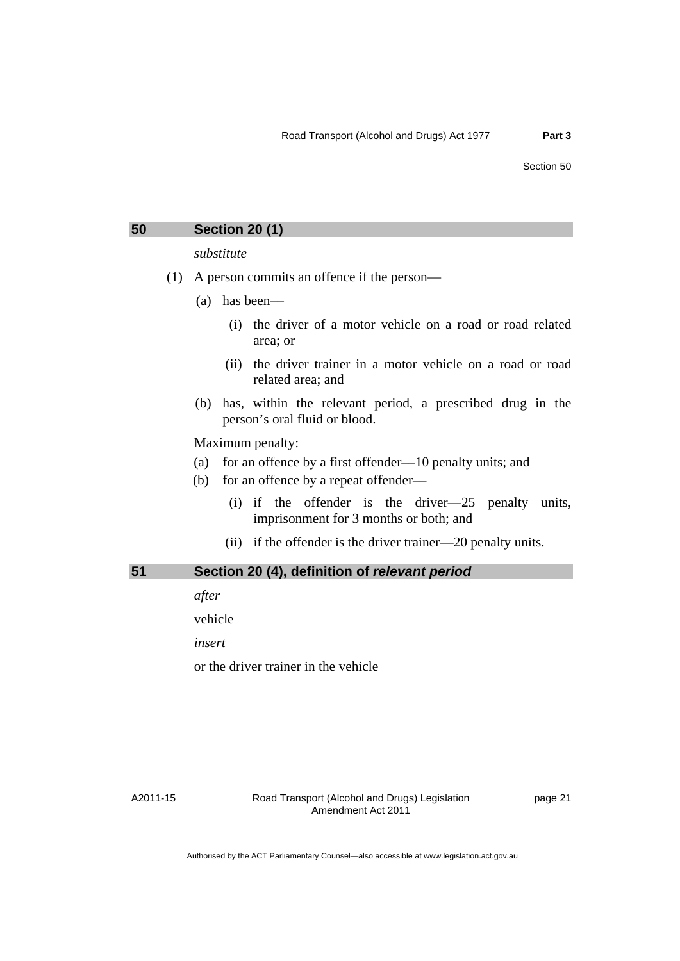#### <span id="page-26-0"></span>**50 Section 20 (1)**

*substitute* 

- (1) A person commits an offence if the person—
	- (a) has been––
		- (i) the driver of a motor vehicle on a road or road related area; or
		- (ii) the driver trainer in a motor vehicle on a road or road related area; and
	- (b) has, within the relevant period, a prescribed drug in the person's oral fluid or blood.

Maximum penalty:

- (a) for an offence by a first offender— $10$  penalty units; and
- (b) for an offence by a repeat offender—
	- (i) if the offender is the driver—25 penalty units, imprisonment for 3 months or both; and
	- (ii) if the offender is the driver trainer—20 penalty units.

| 51 | Section 20 (4), definition of relevant period |
|----|-----------------------------------------------|
|    |                                               |

*after* 

vehicle

*insert* 

or the driver trainer in the vehicle

A2011-15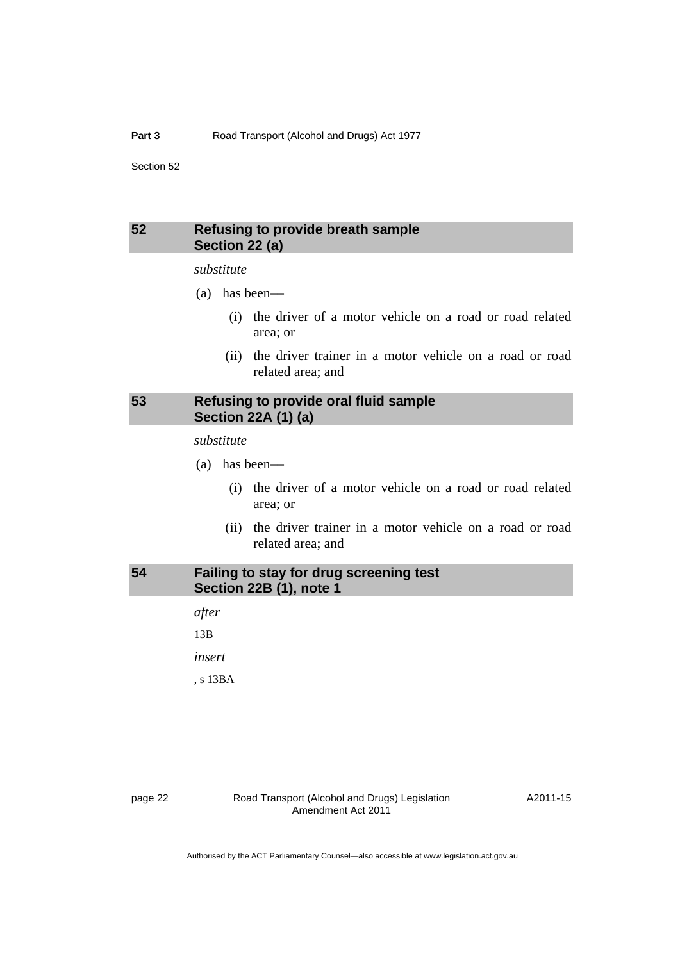#### <span id="page-27-0"></span>**52 Refusing to provide breath sample Section 22 (a)**

#### *substitute*

- (a) has been––
	- (i) the driver of a motor vehicle on a road or road related area; or
	- (ii) the driver trainer in a motor vehicle on a road or road related area; and

### **53 Refusing to provide oral fluid sample Section 22A (1) (a)**

*substitute* 

- (a) has been––
	- (i) the driver of a motor vehicle on a road or road related area; or
	- (ii) the driver trainer in a motor vehicle on a road or road related area; and

# **54 Failing to stay for drug screening test Section 22B (1), note 1**

*after*  13B *insert* 

, s 13BA

A2011-15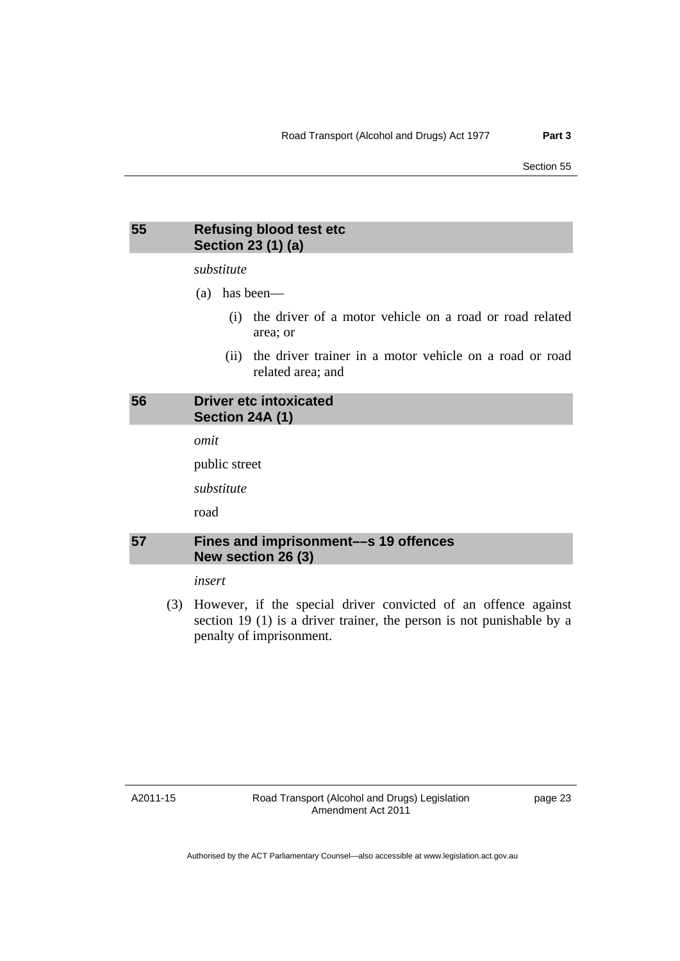#### <span id="page-28-0"></span>**55 Refusing blood test etc Section 23 (1) (a)**

*substitute* 

- (a) has been––
	- (i) the driver of a motor vehicle on a road or road related area; or
	- (ii) the driver trainer in a motor vehicle on a road or road related area; and

### **56 Driver etc intoxicated Section 24A (1)**

*omit* 

public street

*substitute* 

road

# **57 Fines and imprisonment––s 19 offences New section 26 (3)**

*insert* 

 (3) However, if the special driver convicted of an offence against section 19 (1) is a driver trainer, the person is not punishable by a penalty of imprisonment.

A2011-15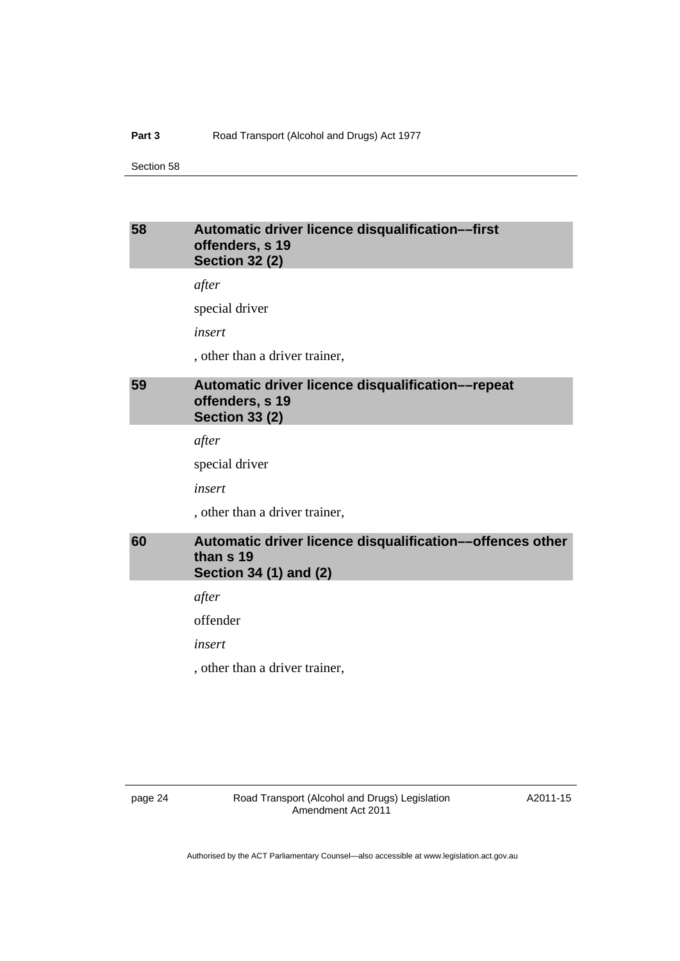### <span id="page-29-0"></span>**58 Automatic driver licence disqualification––first offenders, s 19 Section 32 (2)**

*after* 

special driver

*insert* 

, other than a driver trainer,

# **59 Automatic driver licence disqualification––repeat offenders, s 19 Section 33 (2)**

*after* 

special driver

*insert* 

, other than a driver trainer,

# **60 Automatic driver licence disqualification––offences other than s 19 Section 34 (1) and (2)**

*after* 

offender

*insert* 

, other than a driver trainer,

page 24 Road Transport (Alcohol and Drugs) Legislation Amendment Act 2011

A2011-15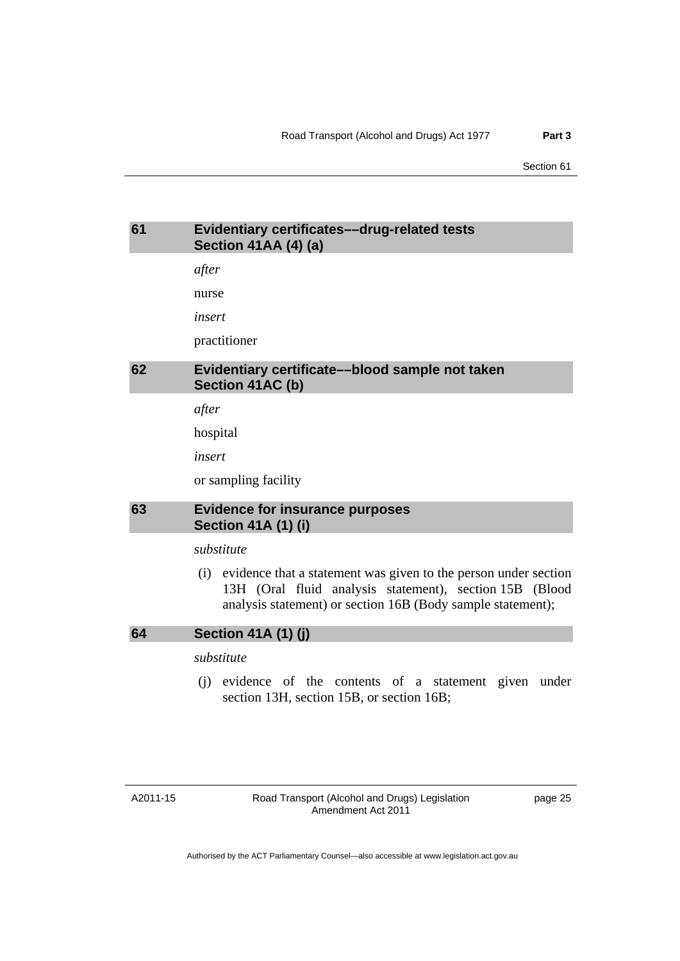# <span id="page-30-0"></span>**61 Evidentiary certificates––drug-related tests Section 41AA (4) (a)**

*after* 

nurse

*insert* 

practitioner

# **62 Evidentiary certificate––blood sample not taken Section 41AC (b)**

*after* 

hospital

*insert* 

or sampling facility

### **63 Evidence for insurance purposes Section 41A (1) (i)**

#### *substitute*

 (i) evidence that a statement was given to the person under section 13H (Oral fluid analysis statement), section 15B (Blood analysis statement) or section 16B (Body sample statement);

#### **64 Section 41A (1) (j)**

## *substitute*

 (j) evidence of the contents of a statement given under section 13H, section 15B, or section 16B;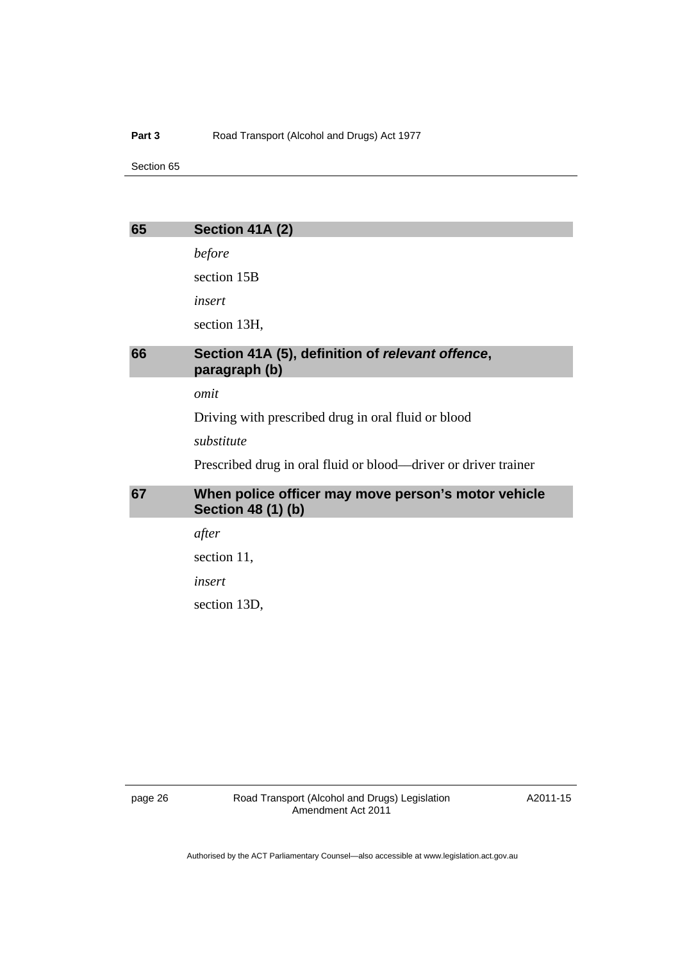#### <span id="page-31-0"></span>Part 3 **Road Transport (Alcohol and Drugs) Act 1977**

Section 65

| 65 | Section 41A (2)                                                                  |
|----|----------------------------------------------------------------------------------|
|    | before                                                                           |
|    | section 15B                                                                      |
|    | insert                                                                           |
|    | section 13H,                                                                     |
| 66 | Section 41A (5), definition of relevant offence,<br>paragraph (b)                |
|    | omit                                                                             |
|    | Driving with prescribed drug in oral fluid or blood                              |
|    | substitute                                                                       |
|    | Prescribed drug in oral fluid or blood—driver or driver trainer                  |
| 67 | When police officer may move person's motor vehicle<br><b>Section 48 (1) (b)</b> |
|    | after                                                                            |
|    | section 11,                                                                      |
|    | insert                                                                           |
|    | section 13D,                                                                     |
|    |                                                                                  |

A2011-15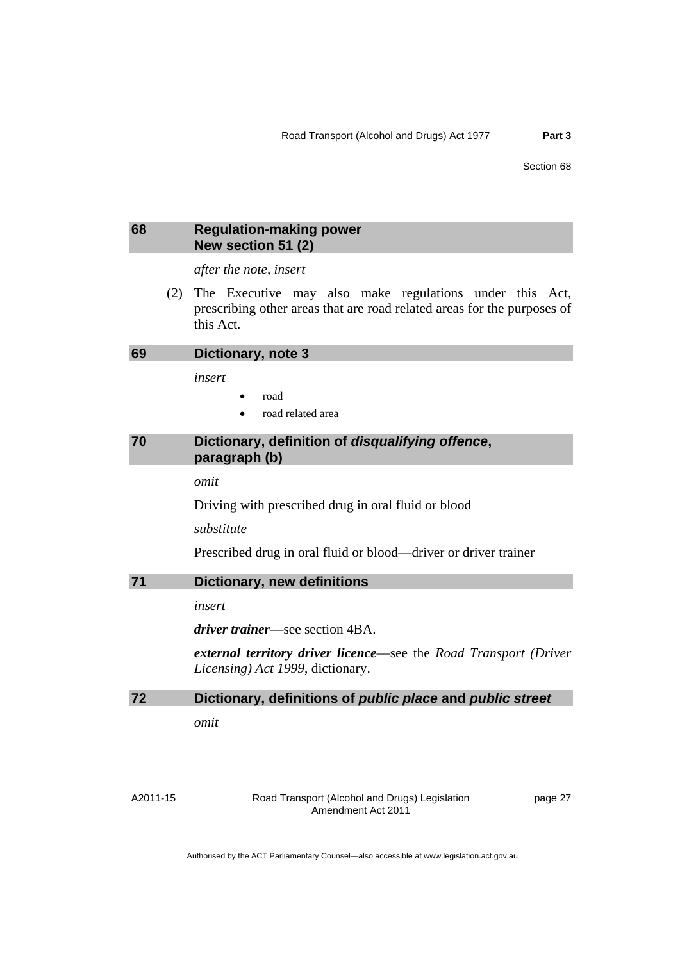#### <span id="page-32-0"></span>**68 Regulation-making power New section 51 (2)**

*after the note, insert* 

 (2) The Executive may also make regulations under this Act, prescribing other areas that are road related areas for the purposes of this Act.

| 69 | Dictionary, note 3 |
|----|--------------------|
|----|--------------------|

*insert* 

- road
- road related area

## **70 Dictionary, definition of** *disqualifying offence***, paragraph (b)**

*omit* 

Driving with prescribed drug in oral fluid or blood

*substitute* 

Prescribed drug in oral fluid or blood––driver or driver trainer

**71 Dictionary, new definitions**

*insert* 

*driver trainer*––see section 4BA.

*external territory driver licence*––see the *Road Transport (Driver Licensing) Act 1999*, dictionary.

```
72 Dictionary, definitions of public place and public street
```
*omit* 

A2011-15

Road Transport (Alcohol and Drugs) Legislation Amendment Act 2011

page 27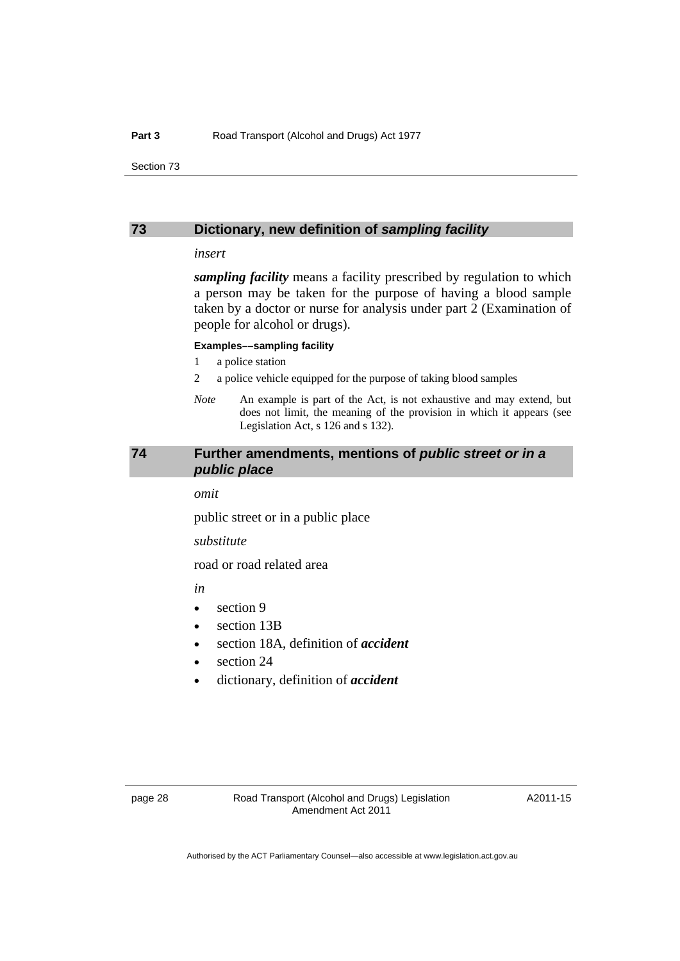#### <span id="page-33-0"></span>**73 Dictionary, new definition of** *sampling facility*

#### *insert*

*sampling facility* means a facility prescribed by regulation to which a person may be taken for the purpose of having a blood sample taken by a doctor or nurse for analysis under part 2 (Examination of people for alcohol or drugs).

#### **Examples––sampling facility**

- 1 a police station
- 2 a police vehicle equipped for the purpose of taking blood samples
- *Note* An example is part of the Act, is not exhaustive and may extend, but does not limit, the meaning of the provision in which it appears (see Legislation Act, s 126 and s 132).

### **74 Further amendments, mentions of** *public street or in a public place*

*omit* 

public street or in a public place

*substitute* 

road or road related area

*in* 

- section 9
- section 13B
- section 18A, definition of *accident*
- section 24
- dictionary, definition of *accident*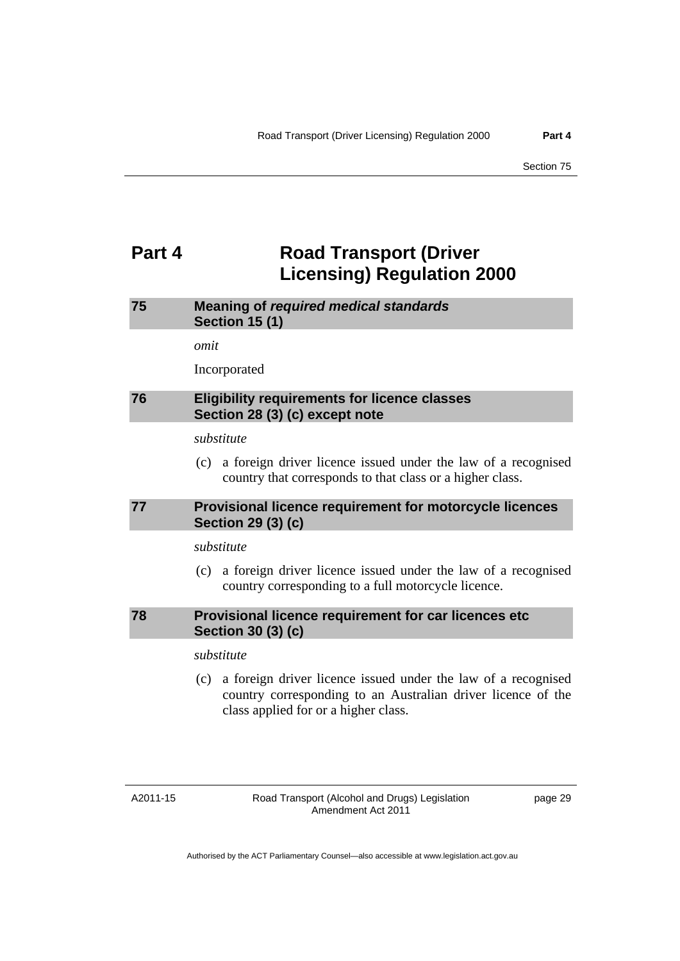# <span id="page-34-0"></span>**Part 4 Road Transport (Driver Licensing) Regulation 2000**

# **75 Meaning of** *required medical standards* **Section 15 (1)**

*omit* 

Incorporated

### **76 Eligibility requirements for licence classes Section 28 (3) (c) except note**

*substitute* 

 (c) a foreign driver licence issued under the law of a recognised country that corresponds to that class or a higher class.

# **77 Provisional licence requirement for motorcycle licences Section 29 (3) (c)**

*substitute* 

 (c) a foreign driver licence issued under the law of a recognised country corresponding to a full motorcycle licence.

#### **78 Provisional licence requirement for car licences etc Section 30 (3) (c)**

## *substitute*

 (c) a foreign driver licence issued under the law of a recognised country corresponding to an Australian driver licence of the class applied for or a higher class.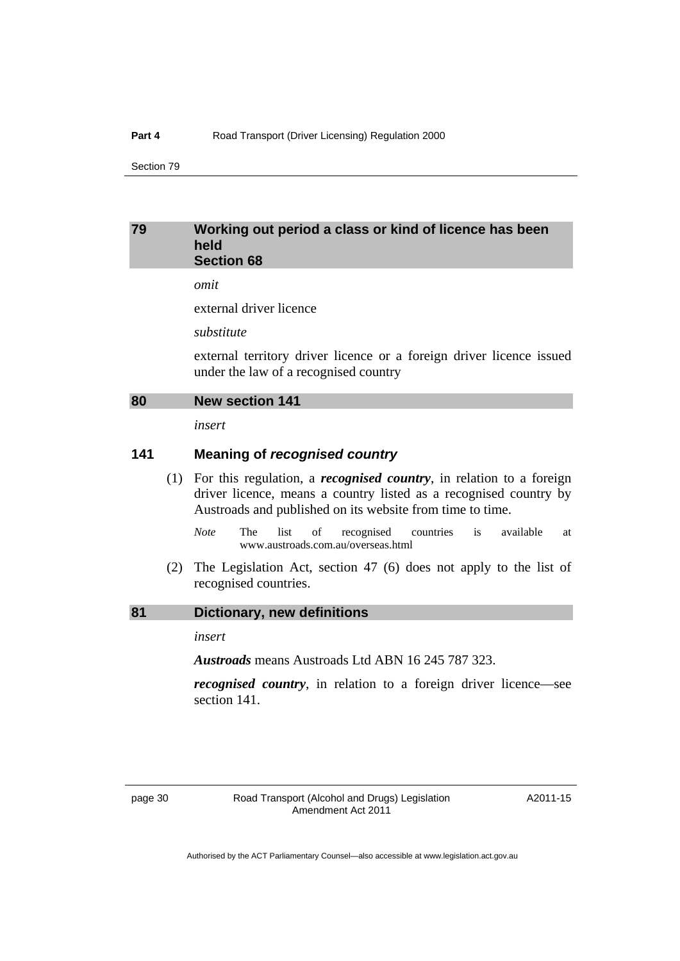#### <span id="page-35-0"></span>**79 Working out period a class or kind of licence has been held Section 68**

*omit* 

external driver licence

*substitute* 

external territory driver licence or a foreign driver licence issued under the law of a recognised country

#### **80 New section 141**

*insert* 

#### **141 Meaning of** *recognised country*

- (1) For this regulation, a *recognised country*, in relation to a foreign driver licence, means a country listed as a recognised country by Austroads and published on its website from time to time.
	- *Note* The list of recognised countries is available at www.austroads.com.au/overseas.html
- (2) The Legislation Act, section 47 (6) does not apply to the list of recognised countries.

#### **81 Dictionary, new definitions**

*insert* 

*Austroads* means Austroads Ltd ABN 16 245 787 323.

*recognised country*, in relation to a foreign driver licence—see section 141.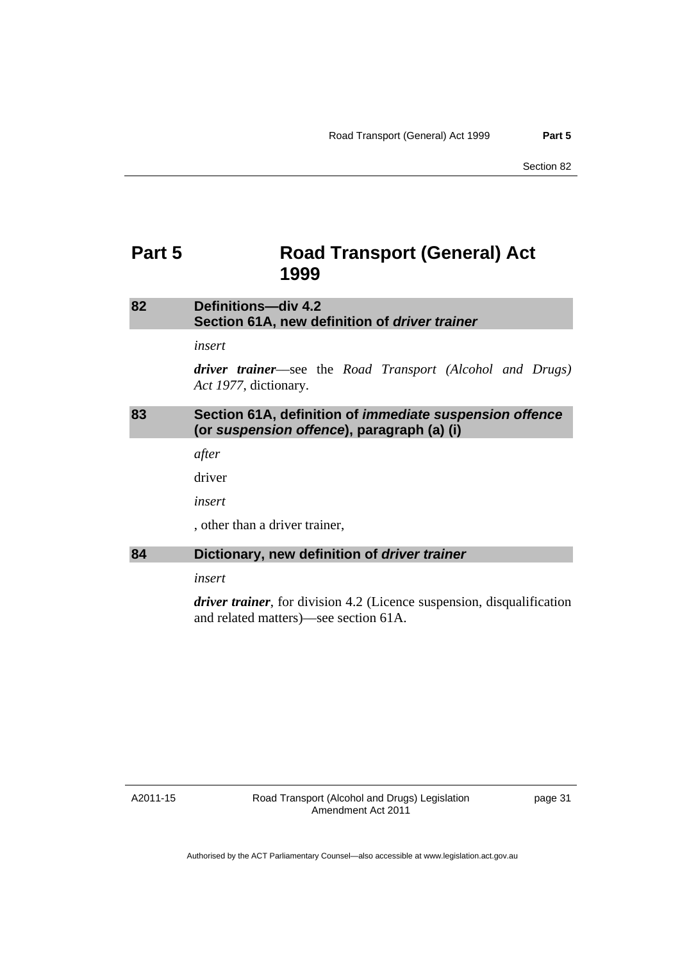# <span id="page-36-0"></span>**Part 5 Road Transport (General) Act 1999**

# **82 Definitions—div 4.2 Section 61A, new definition of** *driver trainer*

*insert* 

*driver trainer*––see the *Road Transport (Alcohol and Drugs) Act 1977*, dictionary.

#### **83 Section 61A, definition of** *immediate suspension offence* **(or** *suspension offence***), paragraph (a) (i)**

*after* 

driver

*insert*

, other than a driver trainer,

#### **84 Dictionary, new definition of** *driver trainer*

*insert* 

*driver trainer*, for division 4.2 (Licence suspension, disqualification and related matters)––see section 61A.

A2011-15

Road Transport (Alcohol and Drugs) Legislation Amendment Act 2011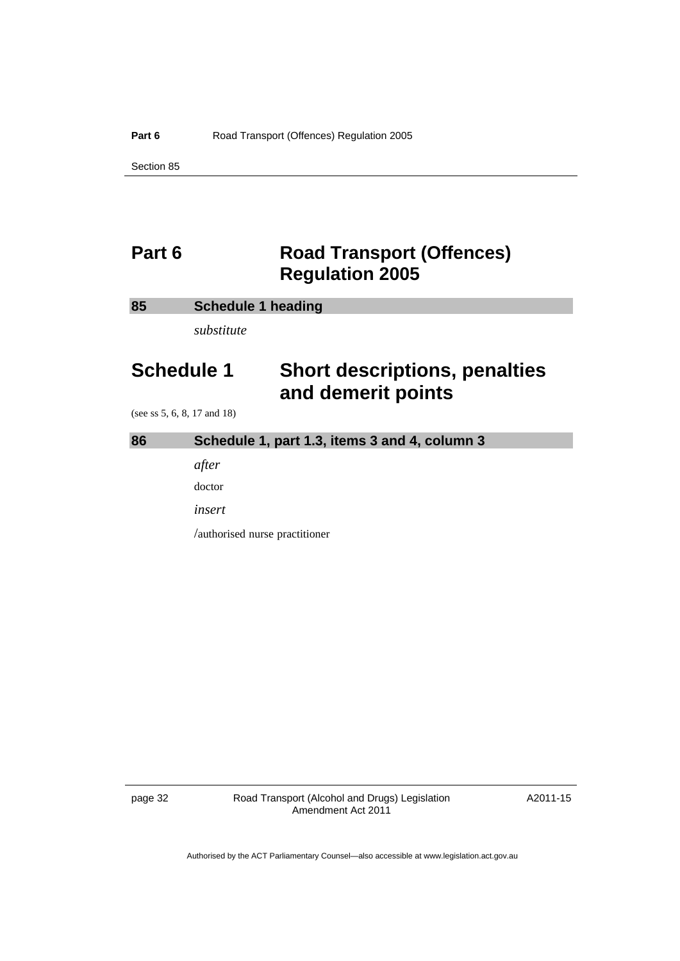# <span id="page-37-0"></span>**Part 6 Road Transport (Offences) Regulation 2005**

#### **85 Schedule 1 heading**

*substitute* 

# **Schedule 1 Short descriptions, penalties and demerit points**

(see ss 5, 6, 8, 17 and 18)

# **86 Schedule 1, part 1.3, items 3 and 4, column 3**

*after* 

doctor

*insert* 

/authorised nurse practitioner

page 32 Road Transport (Alcohol and Drugs) Legislation Amendment Act 2011

A2011-15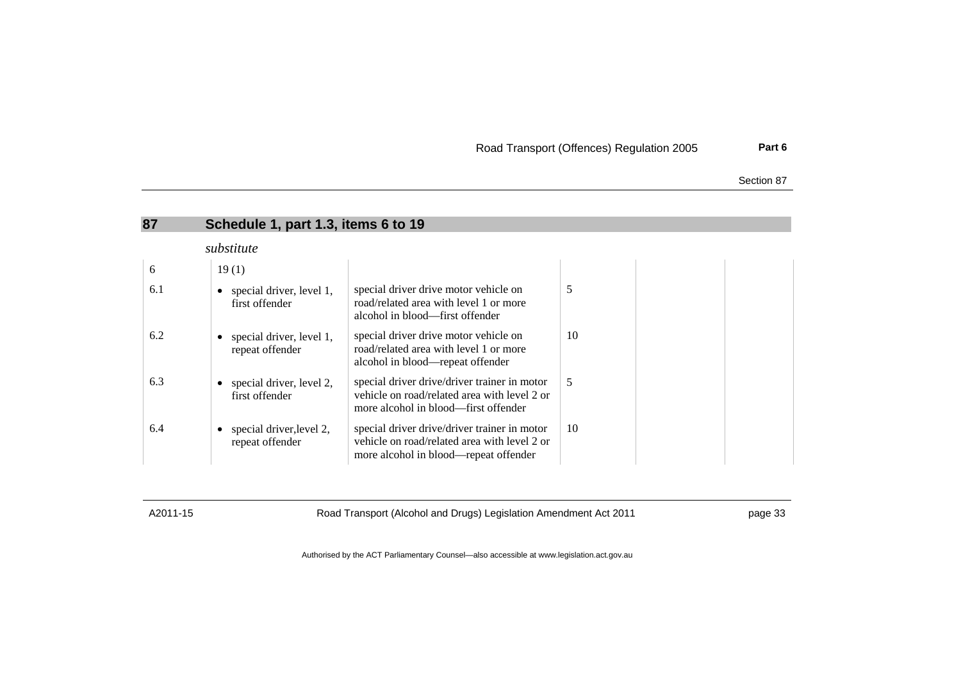| Road Transport (Offences) Regulation 2005 |  |  |  |  | Part 6 |
|-------------------------------------------|--|--|--|--|--------|
|-------------------------------------------|--|--|--|--|--------|

| Section 87 |  |
|------------|--|
|            |  |

| 87         | Schedule 1, part 1.3, items 6 to 19         |                                                                                                                                       |    |  |  |  |
|------------|---------------------------------------------|---------------------------------------------------------------------------------------------------------------------------------------|----|--|--|--|
| substitute |                                             |                                                                                                                                       |    |  |  |  |
| 6          | 19(1)                                       |                                                                                                                                       |    |  |  |  |
| 6.1        | special driver, level 1,<br>first offender  | special driver drive motor vehicle on<br>road/related area with level 1 or more<br>alcohol in blood—first offender                    | 5  |  |  |  |
| 6.2        | special driver, level 1,<br>repeat offender | special driver drive motor vehicle on<br>road/related area with level 1 or more<br>alcohol in blood—repeat offender                   | 10 |  |  |  |
| 6.3        | special driver, level 2,<br>first offender  | special driver drive/driver trainer in motor<br>vehicle on road/related area with level 2 or<br>more alcohol in blood—first offender  | 5  |  |  |  |
| 6.4        | special driver, level 2,<br>repeat offender | special driver drive/driver trainer in motor<br>vehicle on road/related area with level 2 or<br>more alcohol in blood—repeat offender | 10 |  |  |  |

<span id="page-38-0"></span>

A2011-15 Road Transport (Alcohol and Drugs) Legislation Amendment Act 2011 https://www.page 33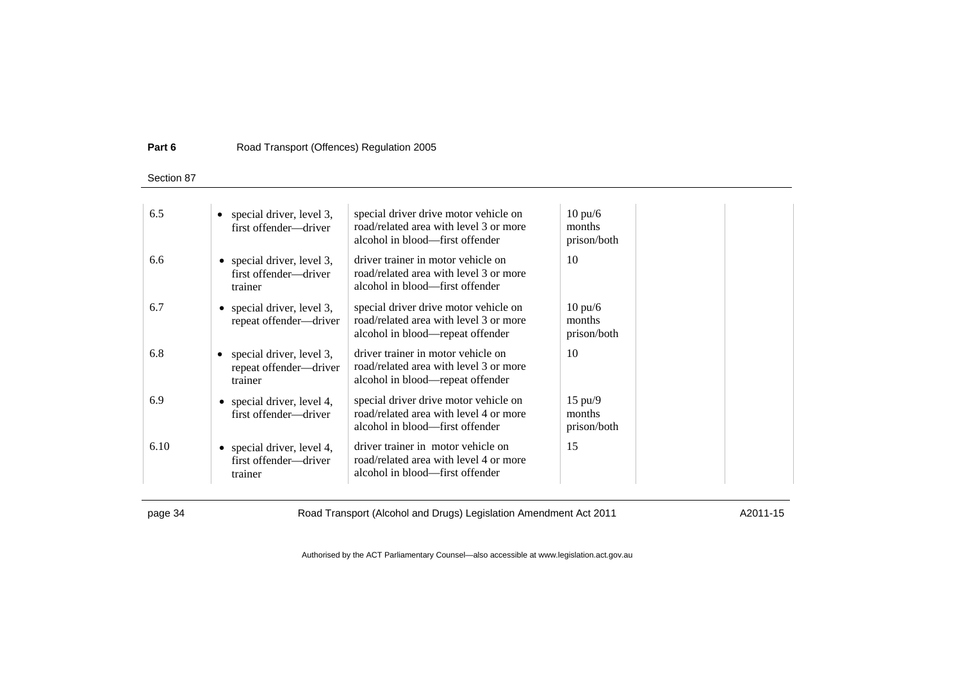#### **Part 6**Road Transport (Offences) Regulation 2005

Section 87

| 6.5  | special driver, level 3,<br>first offender-driver                 | special driver drive motor vehicle on<br>road/related area with level 3 or more<br>alcohol in blood—first offender  | $10 \text{ pu/6}$<br>months<br>prison/both |
|------|-------------------------------------------------------------------|---------------------------------------------------------------------------------------------------------------------|--------------------------------------------|
| 6.6  | • special driver, level $3$ ,<br>first offender-driver<br>trainer | driver trainer in motor vehicle on<br>road/related area with level 3 or more<br>alcohol in blood—first offender     | 10                                         |
| 6.7  | • special driver, level $3$ ,<br>repeat offender-driver           | special driver drive motor vehicle on<br>road/related area with level 3 or more<br>alcohol in blood—repeat offender | $10 \text{ pu/6}$<br>months<br>prison/both |
| 6.8  | special driver, level 3,<br>repeat offender-driver<br>trainer     | driver trainer in motor vehicle on<br>road/related area with level 3 or more<br>alcohol in blood—repeat offender    | 10                                         |
| 6.9  | • special driver, level 4,<br>first offender-driver               | special driver drive motor vehicle on<br>road/related area with level 4 or more<br>alcohol in blood—first offender  | $15 \text{ pu}/9$<br>months<br>prison/both |
| 6.10 | • special driver, level 4,<br>first offender-driver<br>trainer    | driver trainer in motor vehicle on<br>road/related area with level 4 or more<br>alcohol in blood—first offender     | 15                                         |

page 34 Road Transport (Alcohol and Drugs) Legislation Amendment Act 2011 A2011-15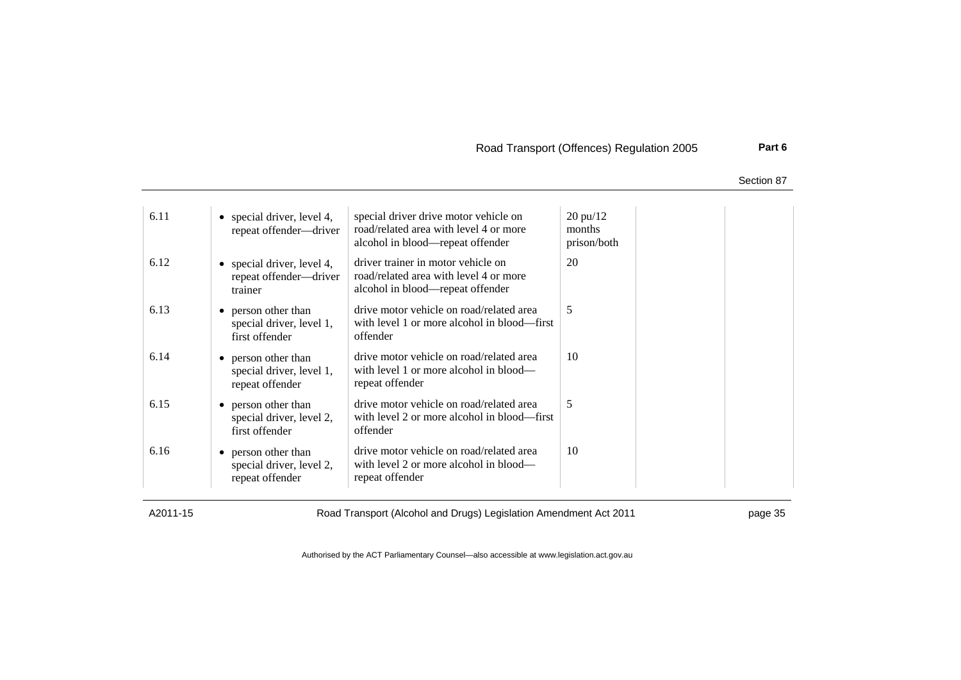Road Transport (Offences) Regulation 2005 **Part 6**

Section 87

| 6.11 | • special driver, level 4,<br>repeat offender-driver               | special driver drive motor vehicle on<br>road/related area with level 4 or more<br>alcohol in blood—repeat offender | $20 \text{ pu}/12$<br>months<br>prison/both |
|------|--------------------------------------------------------------------|---------------------------------------------------------------------------------------------------------------------|---------------------------------------------|
| 6.12 | • special driver, level 4,<br>repeat offender—driver<br>trainer    | driver trainer in motor vehicle on<br>road/related area with level 4 or more<br>alcohol in blood—repeat offender    | 20                                          |
| 6.13 | • person other than<br>special driver, level 1,<br>first offender  | drive motor vehicle on road/related area<br>with level 1 or more alcohol in blood—first<br>offender                 | 5                                           |
| 6.14 | • person other than<br>special driver, level 1,<br>repeat offender | drive motor vehicle on road/related area<br>with level 1 or more alcohol in blood—<br>repeat offender               | 10                                          |
| 6.15 | • person other than<br>special driver, level 2,<br>first offender  | drive motor vehicle on road/related area<br>with level 2 or more alcohol in blood—first<br>offender                 | 5                                           |
| 6.16 | • person other than<br>special driver, level 2,<br>repeat offender | drive motor vehicle on road/related area<br>with level 2 or more alcohol in blood—<br>repeat offender               | 10                                          |

A2011-15 Road Transport (Alcohol and Drugs) Legislation Amendment Act 2011 page 35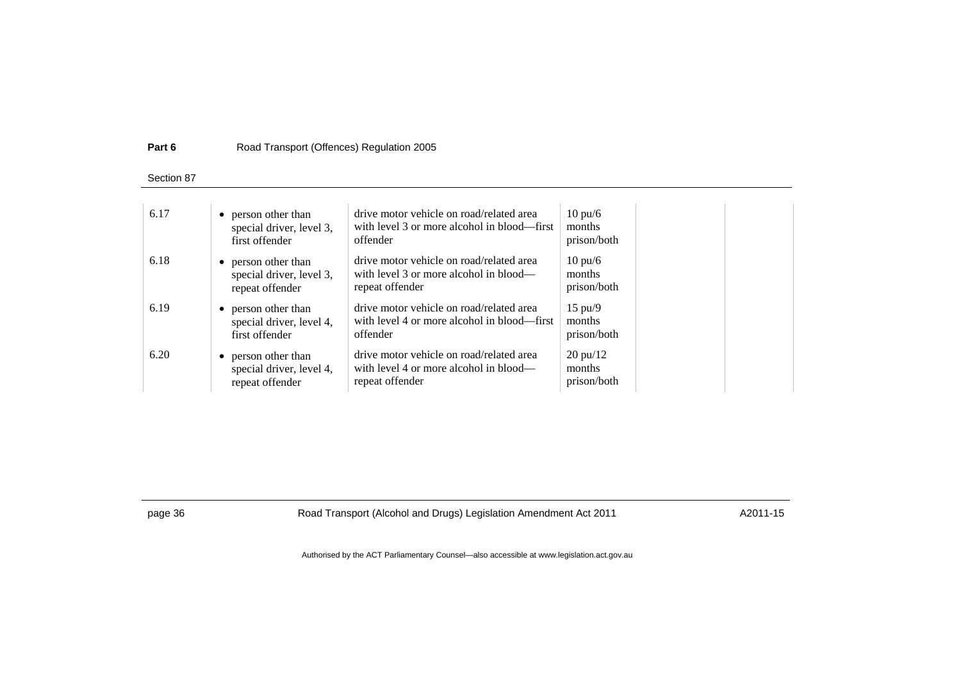#### **Part 6**Road Transport (Offences) Regulation 2005

Section 87

| 6.17 | • person other than      | drive motor vehicle on road/related area    | $10 \text{ pu/6}$         |
|------|--------------------------|---------------------------------------------|---------------------------|
|      | special driver, level 3, | with level 3 or more alcohol in blood—first | months                    |
|      | first offender           | offender                                    | prison/both               |
| 6.18 | • person other than      | drive motor vehicle on road/related area    | $10 \text{ pu/6}$         |
|      | special driver, level 3, | with level 3 or more alcohol in blood—      | months                    |
|      | repeat offender          | repeat offender                             | prison/both               |
| 6.19 | • person other than      | drive motor vehicle on road/related area    | $15 \text{ pu}/9$         |
|      | special driver, level 4, | with level 4 or more alcohol in blood—first | months                    |
|      | first offender           | offender                                    | prison/both               |
| 6.20 | • person other than      | drive motor vehicle on road/related area    | $20 \frac{\text{pu}}{12}$ |
|      | special driver, level 4, | with level 4 or more alcohol in blood—      | months                    |
|      | repeat offender          | repeat offender                             | prison/both               |

page 36 Road Transport (Alcohol and Drugs) Legislation Amendment Act 2011 A2011-15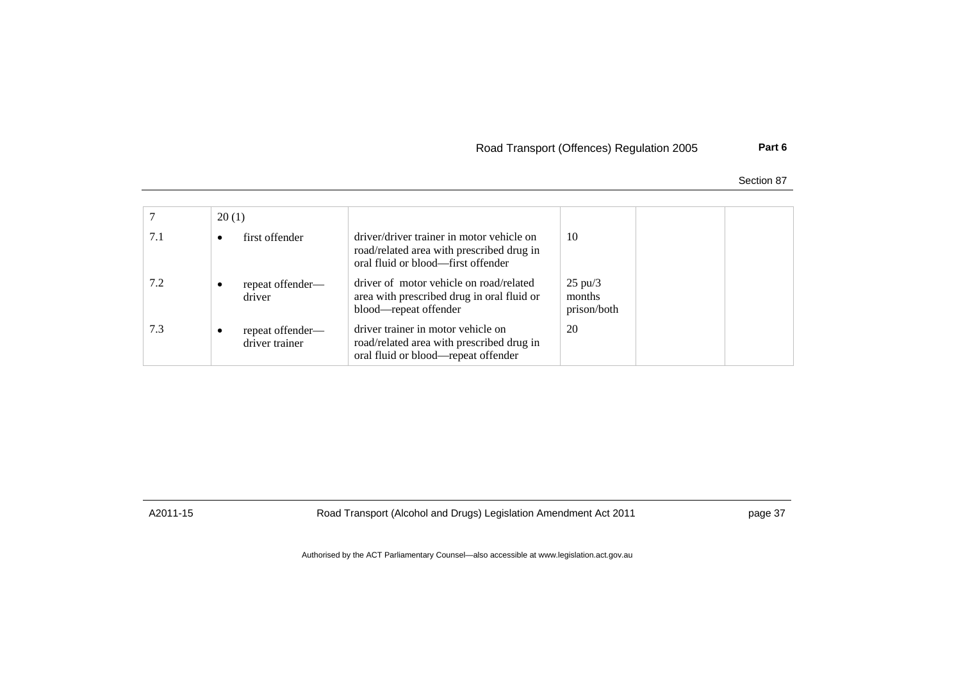# Road Transport (Offences) Regulation 2005 **Part 6**

Section 87

|     | 20(1)                              |                                                                                                                              |                                              |  |
|-----|------------------------------------|------------------------------------------------------------------------------------------------------------------------------|----------------------------------------------|--|
| 7.1 | first offender<br>٠                | driver/driver trainer in motor vehicle on<br>road/related area with prescribed drug in<br>oral fluid or blood-first offender | 10                                           |  |
| 7.2 | repeat offender—<br>driver         | driver of motor vehicle on road/related<br>area with prescribed drug in oral fluid or<br>blood—repeat offender               | $25 \text{ pu} / 3$<br>months<br>prison/both |  |
| 7.3 | repeat offender—<br>driver trainer | driver trainer in motor vehicle on<br>road/related area with prescribed drug in<br>oral fluid or blood-repeat offender       | 20                                           |  |

A2011-15 Road Transport (Alcohol and Drugs) Legislation Amendment Act 2011 page 37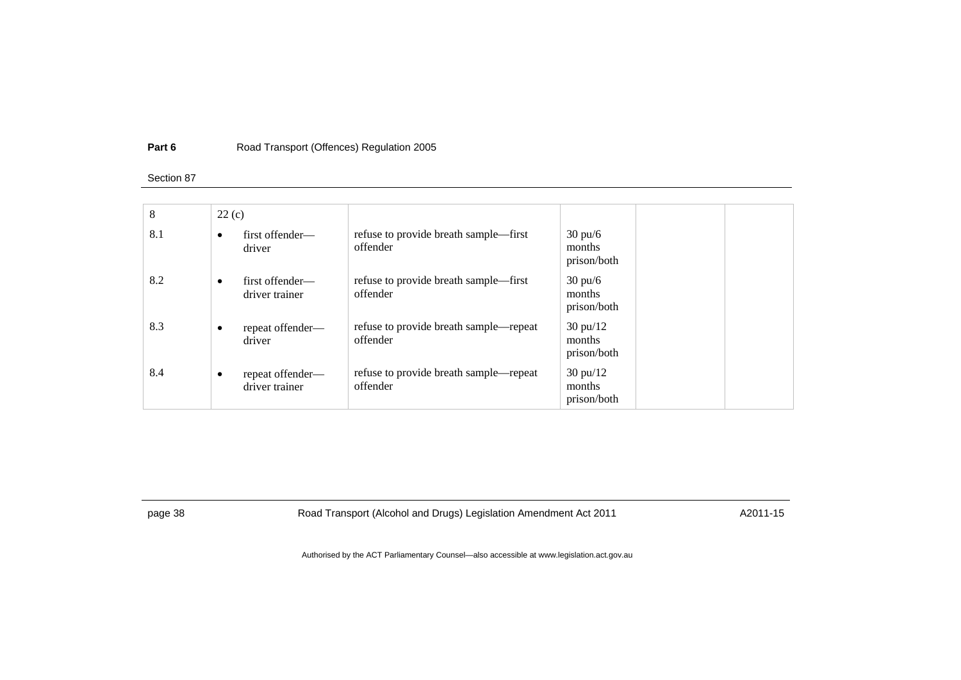#### **Part 6**Road Transport (Offences) Regulation 2005

#### Section 87

| 8   | 22(c)                       |                  |                                                    |                                             |  |
|-----|-----------------------------|------------------|----------------------------------------------------|---------------------------------------------|--|
| 8.1 | $\bullet$<br>driver         | first offender—  | refuse to provide breath sample—first<br>offender  | $30 \text{ pu/6}$<br>months<br>prison/both  |  |
| 8.2 | $\bullet$<br>driver trainer | first offender—  | refuse to provide breath sample—first<br>offender  | $30 \text{ pu/6}$<br>months<br>prison/both  |  |
| 8.3 | $\bullet$<br>driver         | repeat offender- | refuse to provide breath sample—repeat<br>offender | $30 \text{ pu}/12$<br>months<br>prison/both |  |
| 8.4 | ٠<br>driver trainer         | repeat offender— | refuse to provide breath sample—repeat<br>offender | $30 \text{ pu}/12$<br>months<br>prison/both |  |

page 38 Road Transport (Alcohol and Drugs) Legislation Amendment Act 2011 A2011-15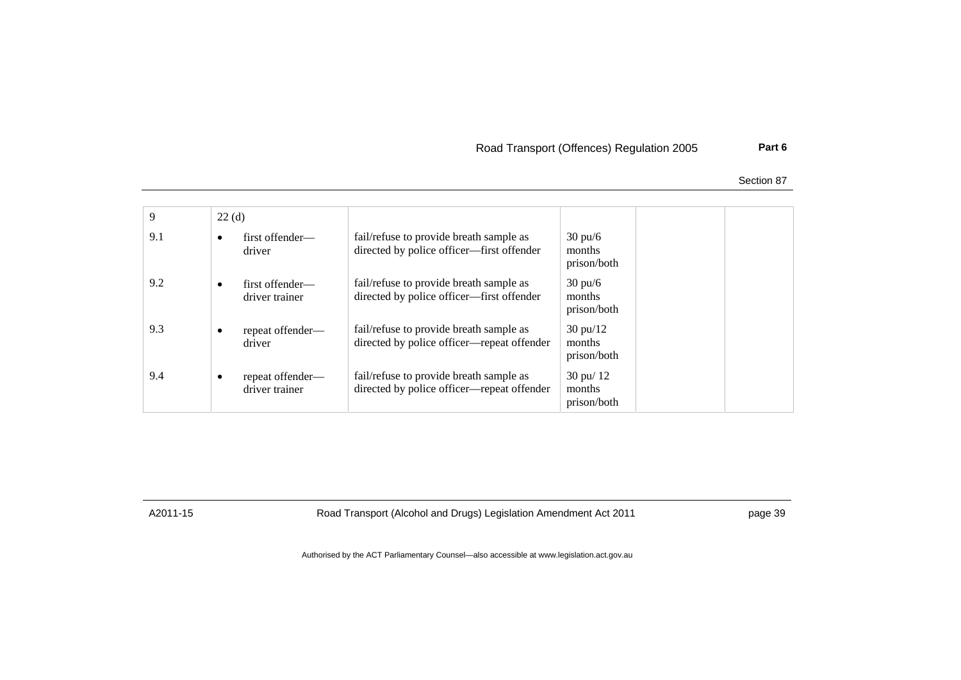# Road Transport (Offences) Regulation 2005 **Part 6**

Section 87

| 9   | 22(d)     |                                    |                                                                                       |                                               |  |
|-----|-----------|------------------------------------|---------------------------------------------------------------------------------------|-----------------------------------------------|--|
| 9.1 | ٠         | first offender—<br>driver          | fail/refuse to provide breath sample as<br>directed by police officer-first offender  | $30 \text{ pu/6}$<br>months<br>prison/both    |  |
| 9.2 | $\bullet$ | first offender—<br>driver trainer  | fail/refuse to provide breath sample as<br>directed by police officer—first offender  | $30 \text{ pu/6}$<br>months<br>prison/both    |  |
| 9.3 | ٠         | repeat offender—<br>driver         | fail/refuse to provide breath sample as<br>directed by police officer—repeat offender | $30 \text{ pu}/12$<br>months<br>prison/both   |  |
| 9.4 | ٠         | repeat offender—<br>driver trainer | fail/refuse to provide breath sample as<br>directed by police officer—repeat offender | $30 \text{ pu} / 12$<br>months<br>prison/both |  |

A2011-15 Road Transport (Alcohol and Drugs) Legislation Amendment Act 2011 page 39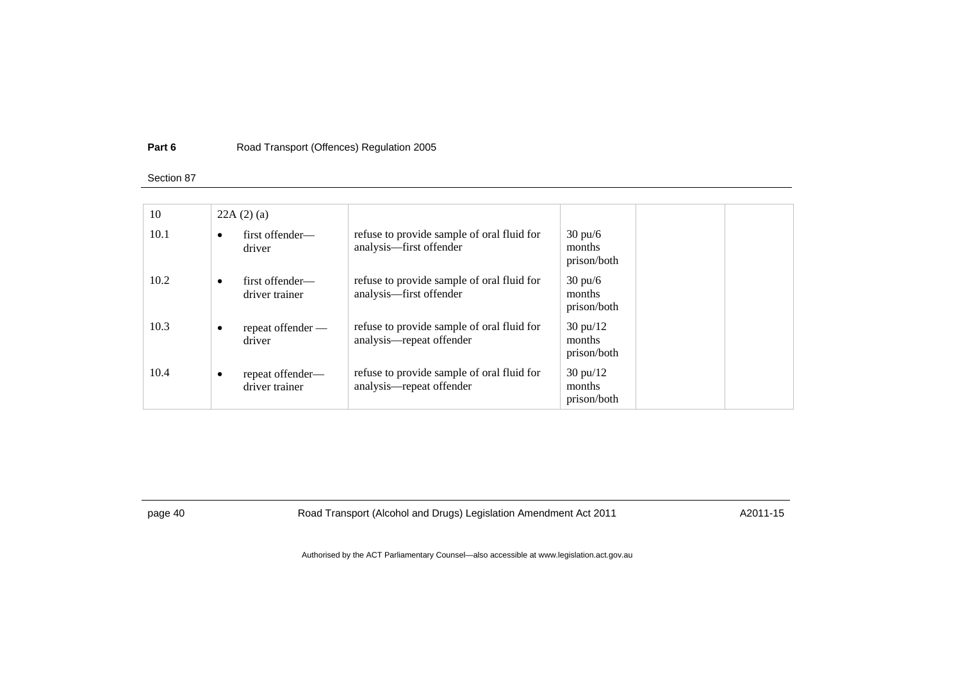#### **Part 6**Road Transport (Offences) Regulation 2005

#### Section 87

| 10   |           | 22A(2)(a)                          |                                                                        |                                             |  |
|------|-----------|------------------------------------|------------------------------------------------------------------------|---------------------------------------------|--|
| 10.1 | $\bullet$ | first offender—<br>driver          | refuse to provide sample of oral fluid for<br>analysis—first offender  | $30 \text{ pu/6}$<br>months<br>prison/both  |  |
| 10.2 | $\bullet$ | first offender—<br>driver trainer  | refuse to provide sample of oral fluid for<br>analysis-first offender  | $30 \text{ pu/6}$<br>months<br>prison/both  |  |
| 10.3 | $\bullet$ | repeat offender —<br>driver        | refuse to provide sample of oral fluid for<br>analysis—repeat offender | $30 \text{ pu}/12$<br>months<br>prison/both |  |
| 10.4 | $\bullet$ | repeat offender—<br>driver trainer | refuse to provide sample of oral fluid for<br>analysis—repeat offender | $30 \text{ pu}/12$<br>months<br>prison/both |  |

page 40 Road Transport (Alcohol and Drugs) Legislation Amendment Act 2011 A2011-15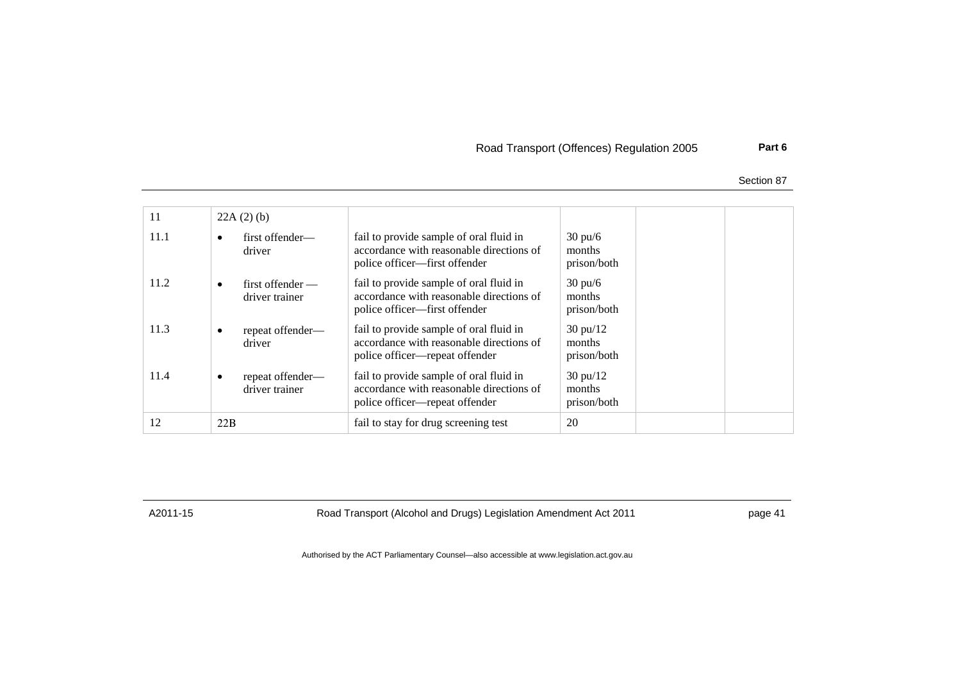# Road Transport (Offences) Regulation 2005 **Part 6**

Section 87

| 11   | $22A(2)$ (b)                                 |                                                                                                                       |                                             |  |
|------|----------------------------------------------|-----------------------------------------------------------------------------------------------------------------------|---------------------------------------------|--|
| 11.1 | first offender—<br>$\bullet$<br>driver       | fail to provide sample of oral fluid in<br>accordance with reasonable directions of<br>police officer—first offender  | $30 \text{ pu/6}$<br>months<br>prison/both  |  |
| 11.2 | $first$ of fender $-$<br>٠<br>driver trainer | fail to provide sample of oral fluid in<br>accordance with reasonable directions of<br>police officer—first offender  | $30 \text{ pu/6}$<br>months<br>prison/both  |  |
| 11.3 | repeat offender—<br>٠<br>driver              | fail to provide sample of oral fluid in<br>accordance with reasonable directions of<br>police officer—repeat offender | $30 \text{ pu}/12$<br>months<br>prison/both |  |
| 11.4 | repeat offender-<br>٠<br>driver trainer      | fail to provide sample of oral fluid in<br>accordance with reasonable directions of<br>police officer—repeat offender | $30 \text{ pu}/12$<br>months<br>prison/both |  |
| 12   | 22B                                          | fail to stay for drug screening test                                                                                  | 20                                          |  |

A2011-15 Road Transport (Alcohol and Drugs) Legislation Amendment Act 2011 page 41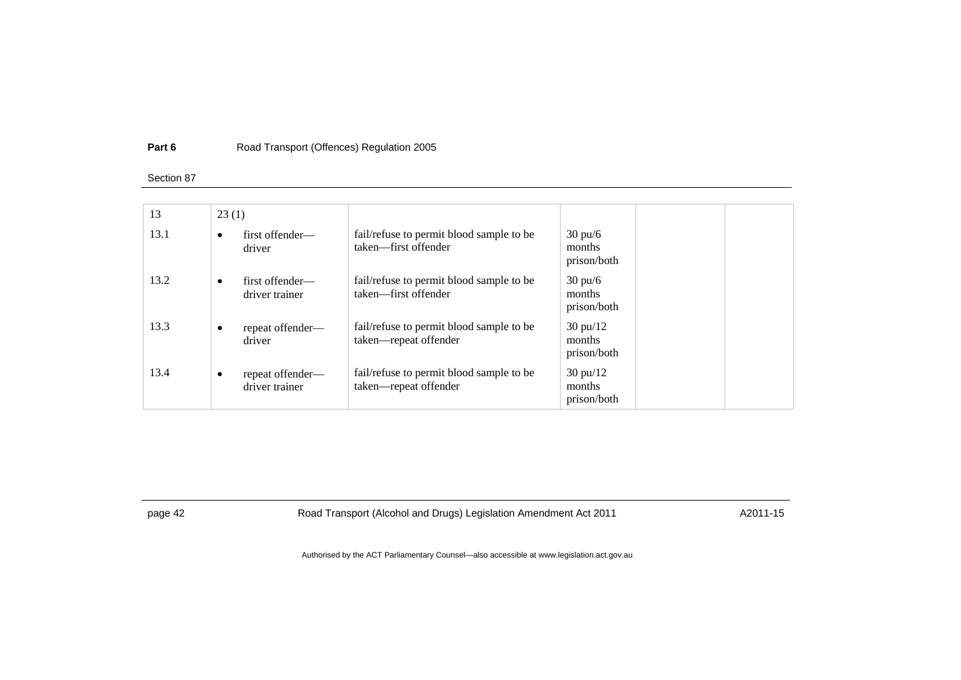#### **Part 6**Road Transport (Offences) Regulation 2005

#### Section 87

| 13   | 23(1)     |                                    |                                                                   |                                             |  |
|------|-----------|------------------------------------|-------------------------------------------------------------------|---------------------------------------------|--|
| 13.1 | $\bullet$ | first offender—<br>driver          | fail/refuse to permit blood sample to be<br>taken—first offender  | $30 \text{ pu/6}$<br>months<br>prison/both  |  |
| 13.2 | $\bullet$ | first offender—<br>driver trainer  | fail/refuse to permit blood sample to be<br>taken—first offender  | $30 \text{ pu/6}$<br>months<br>prison/both  |  |
| 13.3 | ٠         | repeat offender—<br>driver         | fail/refuse to permit blood sample to be<br>taken-repeat offender | $30 \text{ pu}/12$<br>months<br>prison/both |  |
| 13.4 | $\bullet$ | repeat offender—<br>driver trainer | fail/refuse to permit blood sample to be<br>taken-repeat offender | $30 \text{ pu}/12$<br>months<br>prison/both |  |

page 42 Road Transport (Alcohol and Drugs) Legislation Amendment Act 2011 A2011-15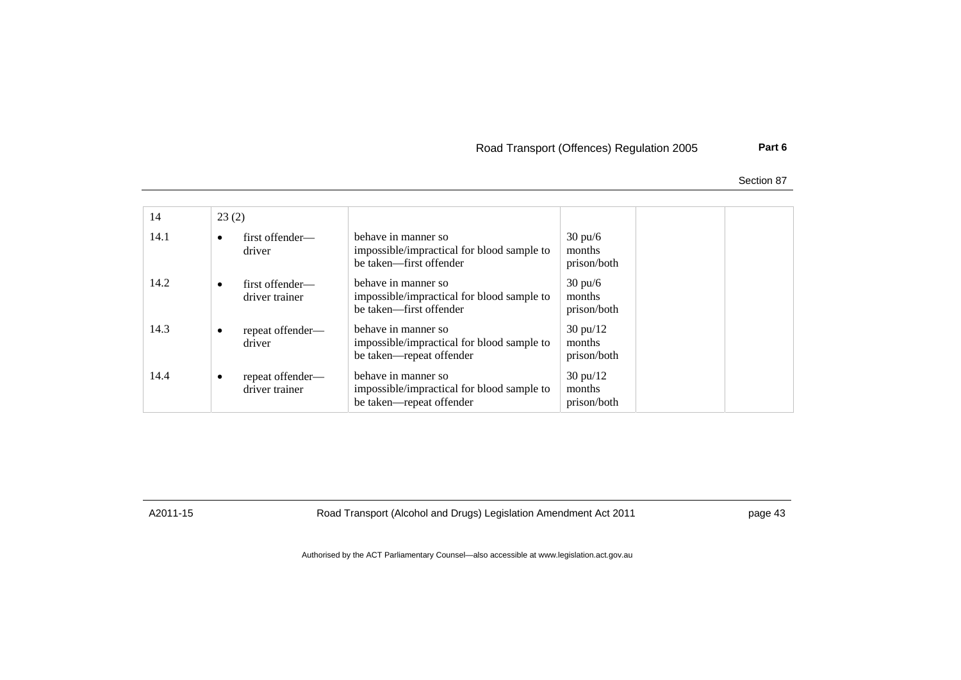# Road Transport (Offences) Regulation 2005 **Part 6**

Section 87

| 14   | 23(2)     |                                    |                                                                                               |                                             |  |
|------|-----------|------------------------------------|-----------------------------------------------------------------------------------------------|---------------------------------------------|--|
| 14.1 | ٠         | first offender-<br>driver          | behave in manner so<br>impossible/impractical for blood sample to<br>be taken—first offender  | $30 \text{ pu/6}$<br>months<br>prison/both  |  |
| 14.2 | $\bullet$ | first offender—<br>driver trainer  | behave in manner so<br>impossible/impractical for blood sample to<br>be taken-first offender  | $30 \text{ pu/6}$<br>months<br>prison/both  |  |
| 14.3 | $\bullet$ | repeat offender—<br>driver         | behave in manner so<br>impossible/impractical for blood sample to<br>be taken—repeat offender | $30 \text{ pu}/12$<br>months<br>prison/both |  |
| 14.4 | ٠         | repeat offender-<br>driver trainer | behave in manner so<br>impossible/impractical for blood sample to<br>be taken—repeat offender | $30 \text{ pu}/12$<br>months<br>prison/both |  |

A2011-15 Road Transport (Alcohol and Drugs) Legislation Amendment Act 2011 page 43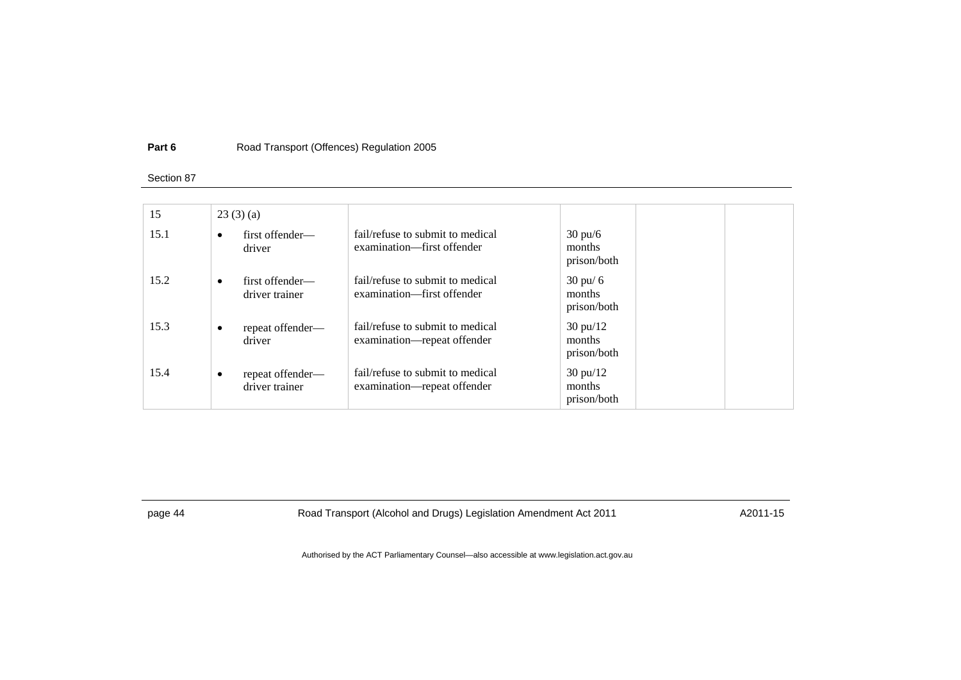#### **Part 6**Road Transport (Offences) Regulation 2005

#### Section 87

| 15   |           | 23(3)(a)                           |                                                                 |                                             |  |
|------|-----------|------------------------------------|-----------------------------------------------------------------|---------------------------------------------|--|
| 15.1 | $\bullet$ | first offender—<br>driver          | fail/refuse to submit to medical<br>examination—first offender  | $30 \text{ pu/6}$<br>months<br>prison/both  |  |
| 15.2 | $\bullet$ | first offender—<br>driver trainer  | fail/refuse to submit to medical<br>examination—first offender  | $30 \text{ pu}$ 6<br>months<br>prison/both  |  |
| 15.3 | ٠         | repeat offender-<br>driver         | fail/refuse to submit to medical<br>examination—repeat offender | $30 \text{ pu}/12$<br>months<br>prison/both |  |
| 15.4 | $\bullet$ | repeat offender—<br>driver trainer | fail/refuse to submit to medical<br>examination—repeat offender | $30 \text{ pu}/12$<br>months<br>prison/both |  |

page 44 Road Transport (Alcohol and Drugs) Legislation Amendment Act 2011 A2011-15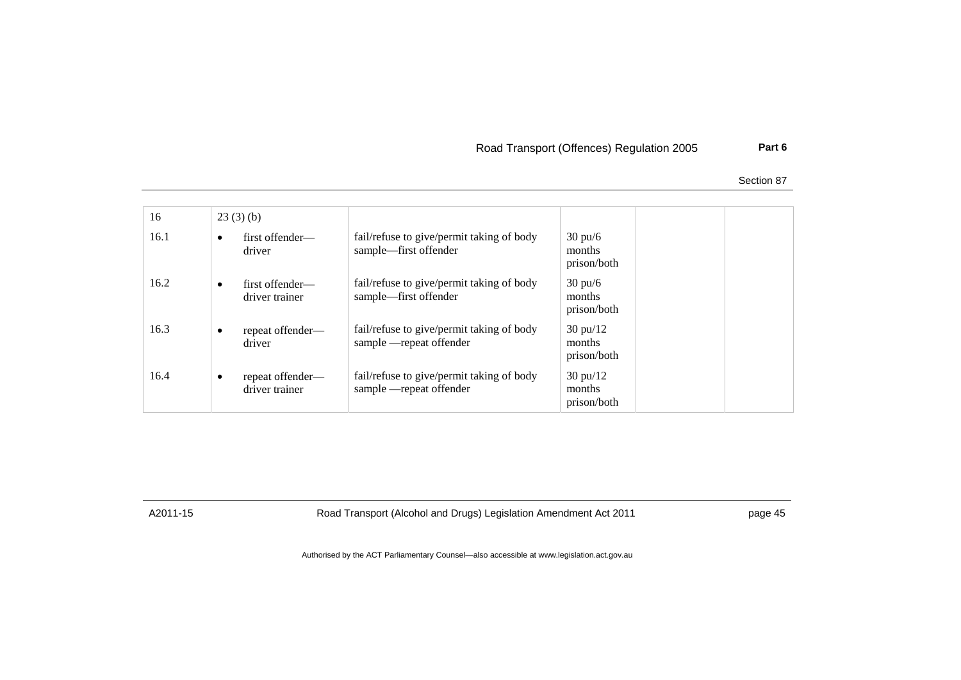# Road Transport (Offences) Regulation 2005 **Part 6**

Section 87

| 16   |           | 23(3)(b)                           |                                                                      |                                             |  |
|------|-----------|------------------------------------|----------------------------------------------------------------------|---------------------------------------------|--|
| 16.1 | $\bullet$ | first offender—<br>driver          | fail/refuse to give/permit taking of body<br>sample—first offender   | $30 \text{ pu/6}$<br>months<br>prison/both  |  |
| 16.2 | $\bullet$ | first offender—<br>driver trainer  | fail/refuse to give/permit taking of body<br>sample—first offender   | $30 \text{ pu/6}$<br>months<br>prison/both  |  |
| 16.3 | $\bullet$ | repeat offender—<br>driver         | fail/refuse to give/permit taking of body<br>sample —repeat offender | $30 \text{ pu}/12$<br>months<br>prison/both |  |
| 16.4 | $\bullet$ | repeat offender—<br>driver trainer | fail/refuse to give/permit taking of body<br>sample —repeat offender | $30 \text{ pu}/12$<br>months<br>prison/both |  |

A2011-15 Road Transport (Alcohol and Drugs) Legislation Amendment Act 2011 page 45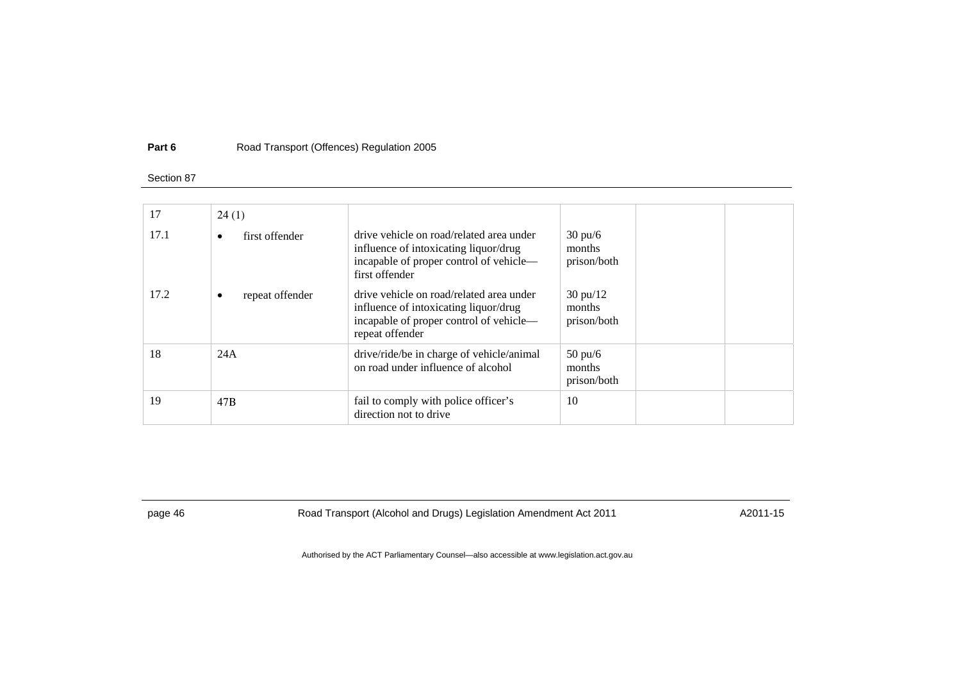#### **Part 6**Road Transport (Offences) Regulation 2005

#### Section 87

| 17   | 24(1)                |                                                                                                                                                 |                                             |
|------|----------------------|-------------------------------------------------------------------------------------------------------------------------------------------------|---------------------------------------------|
| 17.1 | first offender       | drive vehicle on road/related area under<br>influence of intoxicating liquor/drug<br>incapable of proper control of vehicle-<br>first offender  | $30 \text{ pu/6}$<br>months<br>prison/both  |
| 17.2 | repeat offender<br>٠ | drive vehicle on road/related area under<br>influence of intoxicating liquor/drug<br>incapable of proper control of vehicle-<br>repeat offender | $30 \text{ pu}/12$<br>months<br>prison/both |
| 18   | 24A                  | drive/ride/be in charge of vehicle/animal<br>on road under influence of alcohol                                                                 | $50 \text{ pu/6}$<br>months<br>prison/both  |
| 19   | 47 <sub>B</sub>      | fail to comply with police officer's<br>direction not to drive                                                                                  | 10                                          |

page 46 Road Transport (Alcohol and Drugs) Legislation Amendment Act 2011 A2011-15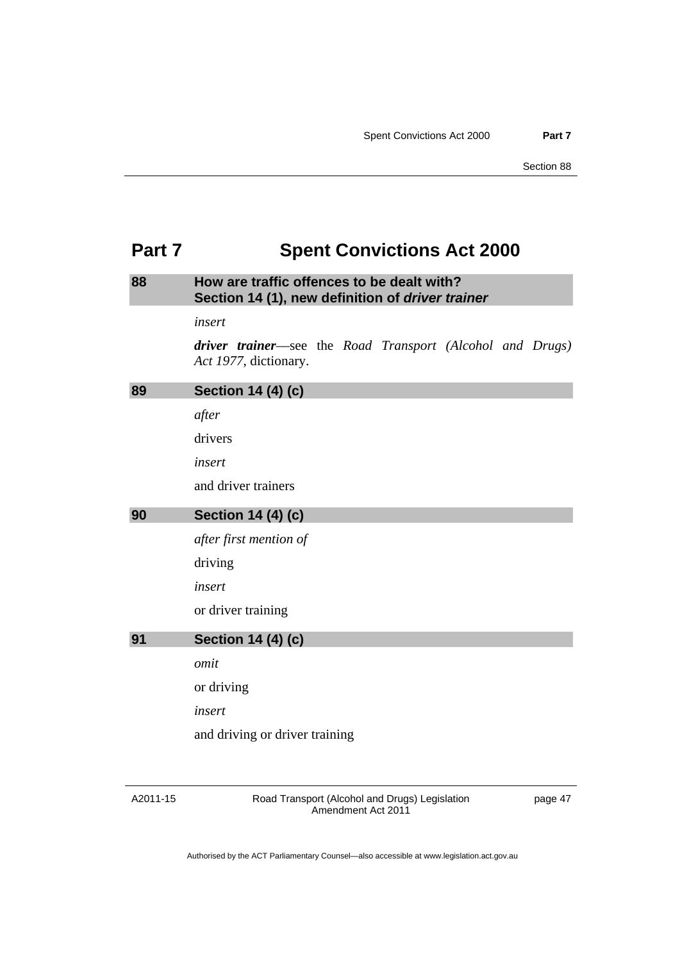# <span id="page-52-0"></span>**Part 7 Spent Convictions Act 2000**

# **88 How are traffic offences to be dealt with? Section 14 (1), new definition of** *driver trainer*

*insert* 

*driver trainer*––see the *Road Transport (Alcohol and Drugs) Act 1977*, dictionary.

| 89 | <b>Section 14 (4) (c)</b>      |
|----|--------------------------------|
|    | after                          |
|    | drivers                        |
|    | insert                         |
|    | and driver trainers            |
| 90 | Section 14 (4) (c)             |
|    | after first mention of         |
|    | driving                        |
|    | insert                         |
|    | or driver training             |
| 91 | <b>Section 14 (4) (c)</b>      |
|    | omit                           |
|    | or driving                     |
|    | insert                         |
|    | and driving or driver training |
|    |                                |

A2011-15

Road Transport (Alcohol and Drugs) Legislation Amendment Act 2011

page 47